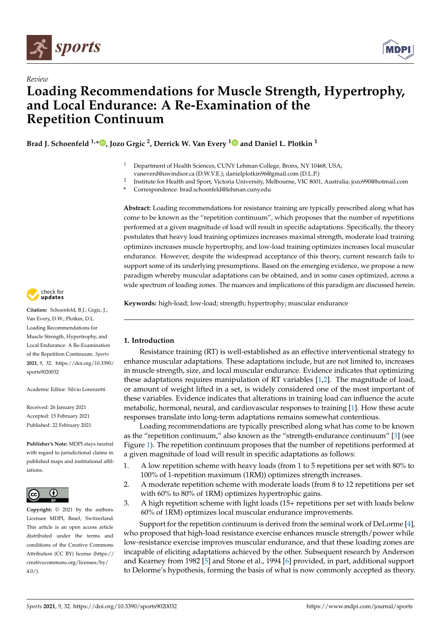

*Review*



# **Loading Recommendations for Muscle Strength, Hypertrophy, and Local Endurance: A Re-Examination of the Repetition Continuum**

**Brad J. Schoenfeld 1,[\\*](https://orcid.org/0000-0003-4979-5783) , Jozo Grgic <sup>2</sup> , Derrick W. Van Every [1](https://orcid.org/0000-0003-0083-6185) and Daniel L. Plotkin <sup>1</sup>**

- Department of Health Sciences, CUNY Lehman College, Bronx, NY 10468, USA; vaneverd@uwindsor.ca (D.W.V.E.); danielplotkin96@gmail.com (D.L.P.)
- 2 Institute for Health and Sport, Victoria University, Melbourne, VIC 8001, Australia; jozo990@hotmail.com

**\*** Correspondence: brad.schoenfeld@lehman.cuny.edu

**Abstract:** Loading recommendations for resistance training are typically prescribed along what has come to be known as the "repetition continuum", which proposes that the number of repetitions performed at a given magnitude of load will result in specific adaptations. Specifically, the theory postulates that heavy load training optimizes increases maximal strength, moderate load training optimizes increases muscle hypertrophy, and low-load training optimizes increases local muscular endurance. However, despite the widespread acceptance of this theory, current research fails to support some of its underlying presumptions. Based on the emerging evidence, we propose a new paradigm whereby muscular adaptations can be obtained, and in some cases optimized, across a wide spectrum of loading zones. The nuances and implications of this paradigm are discussed herein.

**Keywords:** high-load; low-load; strength; hypertrophy; muscular endurance

## **1. Introduction**

Resistance training (RT) is well-established as an effective interventional strategy to enhance muscular adaptations. These adaptations include, but are not limited to, increases in muscle strength, size, and local muscular endurance. Evidence indicates that optimizing these adaptations requires manipulation of RT variables [\[1](#page-20-0)[,2\]](#page-20-1). The magnitude of load, or amount of weight lifted in a set, is widely considered one of the most important of these variables. Evidence indicates that alterations in training load can influence the acute metabolic, hormonal, neural, and cardiovascular responses to training [\[1\]](#page-20-0). How these acute responses translate into long-term adaptations remains somewhat contentious.

Loading recommendations are typically prescribed along what has come to be known as the "repetition continuum," also known as the "strength-endurance continuum" [\[3\]](#page-20-2) (see Figure [1\)](#page-1-0). The repetition continuum proposes that the number of repetitions performed at a given magnitude of load will result in specific adaptations as follows:

- 1. A low repetition scheme with heavy loads (from 1 to 5 repetitions per set with 80% to 100% of 1-repetition maximum (1RM)) optimizes strength increases.
- 2. A moderate repetition scheme with moderate loads (from 8 to 12 repetitions per set with 60% to 80% of 1RM) optimizes hypertrophic gains.
- 3. A high repetition scheme with light loads (15+ repetitions per set with loads below 60% of 1RM) optimizes local muscular endurance improvements.

Support for the repetition continuum is derived from the seminal work of DeLorme [\[4\]](#page-20-3), who proposed that high-load resistance exercise enhances muscle strength/power while low-resistance exercise improves muscular endurance, and that these loading zones are incapable of eliciting adaptations achieved by the other. Subsequent research by Anderson and Kearney from 1982 [\[5\]](#page-20-4) and Stone et al., 1994 [\[6\]](#page-20-5) provided, in part, additional support to Delorme's hypothesis, forming the basis of what is now commonly accepted as theory.



**Citation:** Schoenfeld, B.J.; Grgic, J.; Van Every, D.W.; Plotkin, D.L. Loading Recommendations for Muscle Strength, Hypertrophy, and Local Endurance: A Re-Examination of the Repetition Continuum. *Sports* **2021**, *9*, 32. [https://doi.org/10.3390/](https://doi.org/10.3390/sports9020032) [sports9020032](https://doi.org/10.3390/sports9020032)

Academic Editor: Silvio Lorenzetti

Received: 26 January 2021 Accepted: 15 February 2021 Published: 22 February 2021

**Publisher's Note:** MDPI stays neutral with regard to jurisdictional claims in published maps and institutional affiliations.



**Copyright:** © 2021 by the authors. Licensee MDPI, Basel, Switzerland. This article is an open access article distributed under the terms and conditions of the Creative Commons Attribution (CC BY) license (https:/[/](https://creativecommons.org/licenses/by/4.0/) [creativecommons.org/licenses/by/](https://creativecommons.org/licenses/by/4.0/)  $4.0/$ ).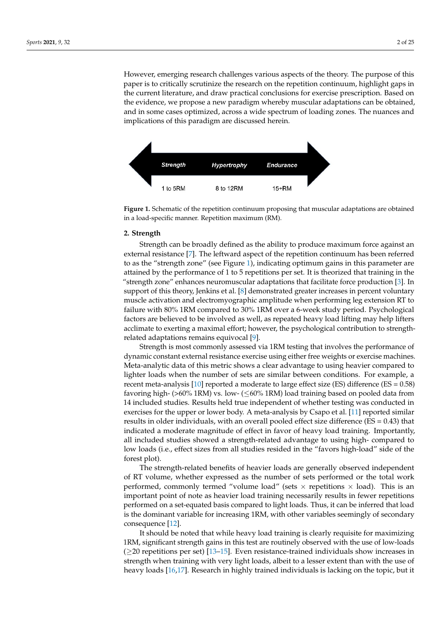However, emerging research challenges various aspects of the theory. The purpose of this paper is to critically scrutinize the research on the repetition continuum, highlight gaps in the current literature, and draw practical conclusions for exercise prescription. Based on the evidence, we propose a new paradigm whereby muscular adaptations can be obtained, and in some cases optimized, across a wide spectrum of loading zones. The nuances and implications of this paradigm are discussed herein.

<span id="page-1-0"></span>

**Figure 1.** Schematic of the repetition continuum proposing that muscular adaptations are obtained in a load-specific manner. Repetition maximum (RM).

#### **Figure 1.** Schematic of the repetition continuum proposing that muscular adaptations are obtained **2. Strength**

in a load-specific manner. Repetition maximum (RM). to as the "strength zone" (see Figure [1\)](#page-1-0), indicating optimum gains in this parameter are attained by the performance of 1 to 5 repetitions per set. It is theorized that training in the "strength zone" enhances neuromuscular adaptations that facilitate force production [\[3\]](#page-20-2). In support of this theory, Jenkins et al. [\[8\]](#page-20-7) demonstrated greater increases in percent voluntary<br> masche activation and clectromy ographic ampiricate when performing togethers for the to<br>failure with 80% 1RM compared to 30% 1RM over a 6-week study period. Psychological factors are believed to be involved as well, as repeated heavy load lifting may help lifters acclimate to exerting a maximal effort; however, the psychological contribution to strength-related adaptations remains equivocal [\[9\]](#page-20-8). Strength can be broadly defined as the ability to produce maximum force against an external resistance [\[7\]](#page-20-6). The leftward aspect of the repetition continuum has been referred muscle activation and electromyographic amplitude when performing leg extension RT to

light gaps in the current literature, and draw practical conclusions for exercise prescrip-dynamic constant external resistance exercise using either free weights or exercise machines. Meta-analytic data of this metric shows a clear advantage to using heavier compared to lighter loads when the number of sets are similar between conditions. For example, a recent meta-analysis [\[10\]](#page-20-9) reported a moderate to large effect size (ES) difference (ES =  $0.58$ ) **2. Strength** exercises for the upper or lower body. A meta-analysis by Csapo et al. [\[11\]](#page-20-10) reported similar results in older individuals, with an overall pooled effect size difference ( $ES = 0.43$ ) that indicated a moderate magnitude of effect in favor of heavy load training. Importantly, an included studies showed a strength-related advantage to using high-compared to low loads (i.e., effect sizes from all studies resided in the "favors high-load" side of the<br>forest plot). Strength is most commonly assessed via 1RM testing that involves the performance of favoring high- (>60% 1RM) vs. low- ( $\leq 60\%$  1RM) load training based on pooled data from 14 included studies. Results held true independent of whether testing was conducted in all included studies showed a strength-related advantage to using high- compared to forest plot).

The strength-related benefits of heavier loads are generally observed independent of RT volume, whether expressed as the number of sets performed or the total work performed, commonly termed "volume load" (sets  $\times$  repetitions  $\times$  load). This is an important performance between performing amplitude when the commonly termed  $\sim$ metallure with 80 field as the with 80 metal training necessarily results in teach repeation.<br>Performed on a set-equated basis compared to light loads. Thus, it can be inferred that load is the dominant variable for increasing 1RM, with other variables seemingly of secondary consequence [12]. important point of note as heavier load training necessarily results in fewer repetitions

It should be noted that while heavy load training is clearly requisite for maximizing TRM, significant strength gains in this test are fournery observed with the use of low-loads  $(≥20$  repetitions per set)  $[13–15]$  $[13–15]$ . Even resistance-trained individuals show increases in strength when training with very light loads, albeit to a lesser extent than with the use of heavy loads [16,17]. Research in highly trained individuals is lacking on the topic, but it 1RM, significant strength gains in this test are routinely observed with the use of low-loads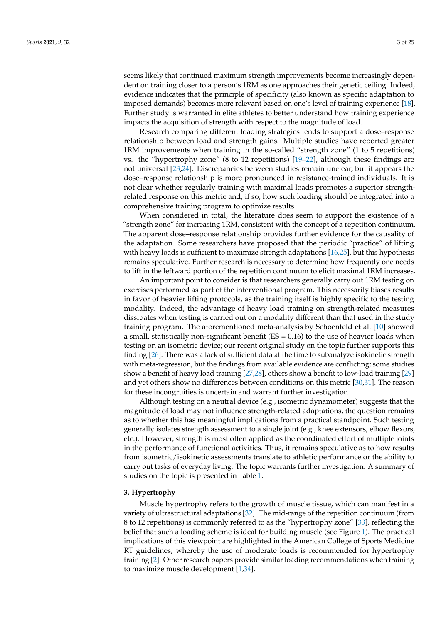seems likely that continued maximum strength improvements become increasingly dependent on training closer to a person's 1RM as one approaches their genetic ceiling. Indeed, evidence indicates that the principle of specificity (also known as specific adaptation to imposed demands) becomes more relevant based on one's level of training experience [\[18\]](#page-20-16). Further study is warranted in elite athletes to better understand how training experience impacts the acquisition of strength with respect to the magnitude of load.

Research comparing different loading strategies tends to support a dose–response relationship between load and strength gains. Multiple studies have reported greater 1RM improvements when training in the so-called "strength zone" (1 to 5 repetitions) vs. the "hypertrophy zone" (8 to 12 repetitions) [\[19](#page-20-17)[–22\]](#page-21-0), although these findings are not universal [\[23,](#page-21-1)[24\]](#page-21-2). Discrepancies between studies remain unclear, but it appears the dose–response relationship is more pronounced in resistance-trained individuals. It is not clear whether regularly training with maximal loads promotes a superior strengthrelated response on this metric and, if so, how such loading should be integrated into a comprehensive training program to optimize results.

When considered in total, the literature does seem to support the existence of a "strength zone" for increasing 1RM, consistent with the concept of a repetition continuum. The apparent dose–response relationship provides further evidence for the causality of the adaptation. Some researchers have proposed that the periodic "practice" of lifting with heavy loads is sufficient to maximize strength adaptations [\[16,](#page-20-14)[25\]](#page-21-3), but this hypothesis remains speculative. Further research is necessary to determine how frequently one needs to lift in the leftward portion of the repetition continuum to elicit maximal 1RM increases.

An important point to consider is that researchers generally carry out 1RM testing on exercises performed as part of the interventional program. This necessarily biases results in favor of heavier lifting protocols, as the training itself is highly specific to the testing modality. Indeed, the advantage of heavy load training on strength-related measures dissipates when testing is carried out on a modality different than that used in the study training program. The aforementioned meta-analysis by Schoenfeld et al. [\[10\]](#page-20-9) showed a small, statistically non-significant benefit ( $ES = 0.16$ ) to the use of heavier loads when testing on an isometric device; our recent original study on the topic further supports this finding [\[26\]](#page-21-4). There was a lack of sufficient data at the time to subanalyze isokinetic strength with meta-regression, but the findings from available evidence are conflicting; some studies show a benefit of heavy load training [\[27](#page-21-5)[,28\]](#page-21-6), others show a benefit to low-load training [\[29\]](#page-21-7) and yet others show no differences between conditions on this metric [\[30](#page-21-8)[,31\]](#page-21-9). The reason for these incongruities is uncertain and warrant further investigation.

Although testing on a neutral device (e.g., isometric dynamometer) suggests that the magnitude of load may not influence strength-related adaptations, the question remains as to whether this has meaningful implications from a practical standpoint. Such testing generally isolates strength assessment to a single joint (e.g., knee extensors, elbow flexors, etc.). However, strength is most often applied as the coordinated effort of multiple joints in the performance of functional activities. Thus, it remains speculative as to how results from isometric/isokinetic assessments translate to athletic performance or the ability to carry out tasks of everyday living. The topic warrants further investigation. A summary of studies on the topic is presented in Table [1.](#page-15-0)

#### **3. Hypertrophy**

Muscle hypertrophy refers to the growth of muscle tissue, which can manifest in a variety of ultrastructural adaptations [\[32\]](#page-21-10). The mid-range of the repetition continuum (from 8 to 12 repetitions) is commonly referred to as the "hypertrophy zone" [\[33\]](#page-21-11), reflecting the belief that such a loading scheme is ideal for building muscle (see Figure [1\)](#page-1-0). The practical implications of this viewpoint are highlighted in the American College of Sports Medicine RT guidelines, whereby the use of moderate loads is recommended for hypertrophy training [\[2\]](#page-20-1). Other research papers provide similar loading recommendations when training to maximize muscle development [\[1](#page-20-0)[,34\]](#page-21-12).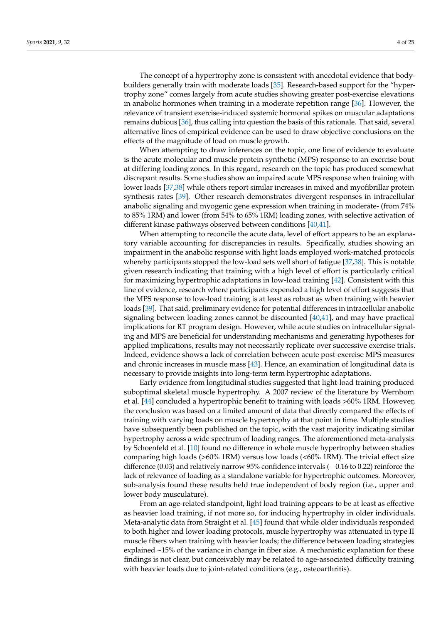The concept of a hypertrophy zone is consistent with anecdotal evidence that bodybuilders generally train with moderate loads [\[35\]](#page-21-13). Research-based support for the "hypertrophy zone" comes largely from acute studies showing greater post-exercise elevations in anabolic hormones when training in a moderate repetition range [\[36\]](#page-21-14). However, the relevance of transient exercise-induced systemic hormonal spikes on muscular adaptations remains dubious [\[36\]](#page-21-14), thus calling into question the basis of this rationale. That said, several alternative lines of empirical evidence can be used to draw objective conclusions on the effects of the magnitude of load on muscle growth.

When attempting to draw inferences on the topic, one line of evidence to evaluate is the acute molecular and muscle protein synthetic (MPS) response to an exercise bout at differing loading zones. In this regard, research on the topic has produced somewhat discrepant results. Some studies show an impaired acute MPS response when training with lower loads [\[37](#page-21-15)[,38\]](#page-21-16) while others report similar increases in mixed and myofibrillar protein synthesis rates [\[39\]](#page-21-17). Other research demonstrates divergent responses in intracellular anabolic signaling and myogenic gene expression when training in moderate- (from 74% to 85% 1RM) and lower (from 54% to 65% 1RM) loading zones, with selective activation of different kinase pathways observed between conditions [\[40](#page-21-18)[,41\]](#page-21-19).

When attempting to reconcile the acute data, level of effort appears to be an explanatory variable accounting for discrepancies in results. Specifically, studies showing an impairment in the anabolic response with light loads employed work-matched protocols whereby participants stopped the low-load sets well short of fatigue [\[37,](#page-21-15)[38\]](#page-21-16). This is notable given research indicating that training with a high level of effort is particularly critical for maximizing hypertrophic adaptations in low-load training [\[42\]](#page-21-20). Consistent with this line of evidence, research where participants expended a high level of effort suggests that the MPS response to low-load training is at least as robust as when training with heavier loads [\[39\]](#page-21-17). That said, preliminary evidence for potential differences in intracellular anabolic signaling between loading zones cannot be discounted [\[40,](#page-21-18)[41\]](#page-21-19), and may have practical implications for RT program design. However, while acute studies on intracellular signaling and MPS are beneficial for understanding mechanisms and generating hypotheses for applied implications, results may not necessarily replicate over successive exercise trials. Indeed, evidence shows a lack of correlation between acute post-exercise MPS measures and chronic increases in muscle mass [\[43\]](#page-21-21). Hence, an examination of longitudinal data is necessary to provide insights into long-term term hypertrophic adaptations.

Early evidence from longitudinal studies suggested that light-load training produced suboptimal skeletal muscle hypertrophy. A 2007 review of the literature by Wernbom et al. [\[44\]](#page-22-0) concluded a hypertrophic benefit to training with loads >60% 1RM. However, the conclusion was based on a limited amount of data that directly compared the effects of training with varying loads on muscle hypertrophy at that point in time. Multiple studies have subsequently been published on the topic, with the vast majority indicating similar hypertrophy across a wide spectrum of loading ranges. The aforementioned meta-analysis by Schoenfeld et al. [\[10\]](#page-20-9) found no difference in whole muscle hypertrophy between studies comparing high loads (>60% 1RM) versus low loads (<60% 1RM). The trivial effect size difference (0.03) and relatively narrow 95% confidence intervals (−0.16 to 0.22) reinforce the lack of relevance of loading as a standalone variable for hypertrophic outcomes. Moreover, sub-analysis found these results held true independent of body region (i.e., upper and lower body musculature).

From an age-related standpoint, light load training appears to be at least as effective as heavier load training, if not more so, for inducing hypertrophy in older individuals. Meta-analytic data from Straight et al. [\[45\]](#page-22-1) found that while older individuals responded to both higher and lower loading protocols, muscle hypertrophy was attenuated in type II muscle fibers when training with heavier loads; the difference between loading strategies explained ~15% of the variance in change in fiber size. A mechanistic explanation for these findings is not clear, but conceivably may be related to age-associated difficulty training with heavier loads due to joint-related conditions (e.g., osteoarthritis).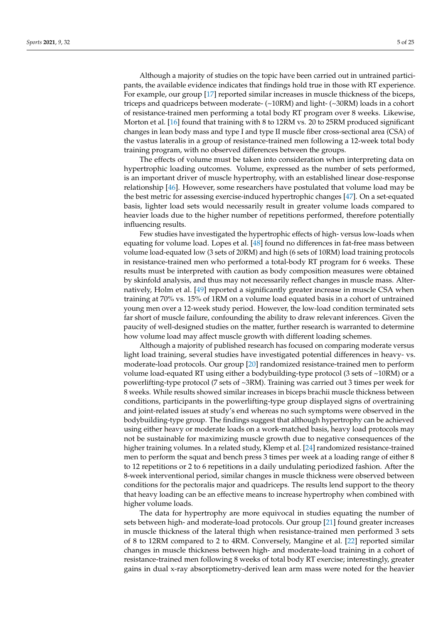Although a majority of studies on the topic have been carried out in untrained participants, the available evidence indicates that findings hold true in those with RT experience. For example, our group [\[17\]](#page-20-15) reported similar increases in muscle thickness of the biceps, triceps and quadriceps between moderate- (~10RM) and light- (~30RM) loads in a cohort of resistance-trained men performing a total body RT program over 8 weeks. Likewise, Morton et al. [\[16\]](#page-20-14) found that training with 8 to 12RM vs. 20 to 25RM produced significant changes in lean body mass and type I and type II muscle fiber cross-sectional area (CSA) of the vastus lateralis in a group of resistance-trained men following a 12-week total body training program, with no observed differences between the groups.

The effects of volume must be taken into consideration when interpreting data on hypertrophic loading outcomes. Volume, expressed as the number of sets performed, is an important driver of muscle hypertrophy, with an established linear dose-response relationship [\[46\]](#page-22-2). However, some researchers have postulated that volume load may be the best metric for assessing exercise-induced hypertrophic changes [\[47\]](#page-22-3). On a set-equated basis, lighter load sets would necessarily result in greater volume loads compared to heavier loads due to the higher number of repetitions performed, therefore potentially influencing results.

Few studies have investigated the hypertrophic effects of high- versus low-loads when equating for volume load. Lopes et al. [\[48\]](#page-22-4) found no differences in fat-free mass between volume load-equated low (3 sets of 20RM) and high (6 sets of 10RM) load training protocols in resistance-trained men who performed a total-body RT program for 6 weeks. These results must be interpreted with caution as body composition measures were obtained by skinfold analysis, and thus may not necessarily reflect changes in muscle mass. Alternatively, Holm et al. [\[49\]](#page-22-5) reported a significantly greater increase in muscle CSA when training at 70% vs. 15% of 1RM on a volume load equated basis in a cohort of untrained young men over a 12-week study period. However, the low-load condition terminated sets far short of muscle failure, confounding the ability to draw relevant inferences. Given the paucity of well-designed studies on the matter, further research is warranted to determine how volume load may affect muscle growth with different loading schemes.

Although a majority of published research has focused on comparing moderate versus light load training, several studies have investigated potential differences in heavy- vs. moderate-load protocols. Our group [\[20\]](#page-20-18) randomized resistance-trained men to perform volume load-equated RT using either a bodybuilding-type protocol (3 sets of  $\sim$ 10RM) or a powerlifting-type protocol (7 sets of ~3RM). Training was carried out 3 times per week for 8 weeks. While results showed similar increases in biceps brachii muscle thickness between conditions, participants in the powerlifting-type group displayed signs of overtraining and joint-related issues at study's end whereas no such symptoms were observed in the bodybuilding-type group. The findings suggest that although hypertrophy can be achieved using either heavy or moderate loads on a work-matched basis, heavy load protocols may not be sustainable for maximizing muscle growth due to negative consequences of the higher training volumes. In a related study, Klemp et al. [\[24\]](#page-21-2) randomized resistance-trained men to perform the squat and bench press 3 times per week at a loading range of either 8 to 12 repetitions or 2 to 6 repetitions in a daily undulating periodized fashion. After the 8-week interventional period, similar changes in muscle thickness were observed between conditions for the pectoralis major and quadriceps. The results lend support to the theory that heavy loading can be an effective means to increase hypertrophy when combined with higher volume loads.

The data for hypertrophy are more equivocal in studies equating the number of sets between high- and moderate-load protocols. Our group [\[21\]](#page-21-22) found greater increases in muscle thickness of the lateral thigh when resistance-trained men performed 3 sets of 8 to 12RM compared to 2 to 4RM. Conversely, Mangine et al. [\[22\]](#page-21-0) reported similar changes in muscle thickness between high- and moderate-load training in a cohort of resistance-trained men following 8 weeks of total body RT exercise; interestingly, greater gains in dual x-ray absorptiometry-derived lean arm mass were noted for the heavier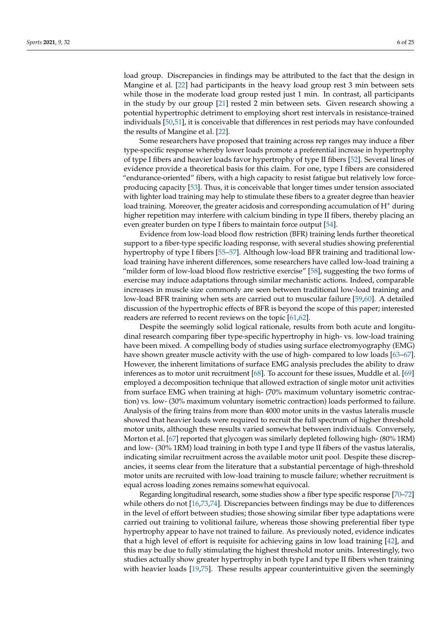load group. Discrepancies in findings may be attributed to the fact that the design in Mangine et al. [\[22\]](#page-21-0) had participants in the heavy load group rest 3 min between sets while those in the moderate load group rested just 1 min. In contrast, all participants in the study by our group [\[21\]](#page-21-22) rested 2 min between sets. Given research showing a potential hypertrophic detriment to employing short rest intervals in resistance-trained individuals [\[50,](#page-22-6)[51\]](#page-22-7), it is conceivable that differences in rest periods may have confounded the results of Mangine et al. [\[22\]](#page-21-0).

Some researchers have proposed that training across rep ranges may induce a fiber type-specific response whereby lower loads promote a preferential increase in hypertrophy of type I fibers and heavier loads favor hypertrophy of type II fibers [\[52\]](#page-22-8). Several lines of evidence provide a theoretical basis for this claim. For one, type I fibers are considered "endurance-oriented" fibers, with a high capacity to resist fatigue but relatively low forceproducing capacity [\[53\]](#page-22-9). Thus, it is conceivable that longer times under tension associated with lighter load training may help to stimulate these fibers to a greater degree than heavier load training. Moreover, the greater acidosis and corresponding accumulation of H<sup>+</sup> during higher repetition may interfere with calcium binding in type II fibers, thereby placing an even greater burden on type I fibers to maintain force output [\[54\]](#page-22-10).

Evidence from low-load blood flow restriction (BFR) training lends further theoretical support to a fiber-type specific loading response, with several studies showing preferential hypertrophy of type I fibers [\[55–](#page-22-11)[57\]](#page-22-12). Although low-load BFR training and traditional lowload training have inherent differences, some researchers have called low-load training a "milder form of low-load blood flow restrictive exercise" [\[58\]](#page-22-13), suggesting the two forms of exercise may induce adaptations through similar mechanistic actions. Indeed, comparable increases in muscle size commonly are seen between traditional low-load training and low-load BFR training when sets are carried out to muscular failure [\[59](#page-22-14)[,60\]](#page-22-15). A detailed discussion of the hypertrophic effects of BFR is beyond the scope of this paper; interested readers are referred to recent reviews on the topic [\[61,](#page-22-16)[62\]](#page-22-17).

Despite the seemingly solid logical rationale, results from both acute and longitudinal research comparing fiber type-specific hypertrophy in high- vs. low-load training have been mixed. A compelling body of studies using surface electromyography (EMG) have shown greater muscle activity with the use of high- compared to low loads [\[63](#page-22-18)[–67\]](#page-22-19). However, the inherent limitations of surface EMG analysis precludes the ability to draw inferences as to motor unit recruitment [\[68\]](#page-23-0). To account for these issues, Muddle et al. [\[69\]](#page-23-1) employed a decomposition technique that allowed extraction of single motor unit activities from surface EMG when training at high- (70% maximum voluntary isometric contraction) vs. low- (30% maximum voluntary isometric contraction) loads performed to failure. Analysis of the firing trains from more than 4000 motor units in the vastus lateralis muscle showed that heavier loads were required to recruit the full spectrum of higher threshold motor units, although these results varied somewhat between individuals. Conversely, Morton et al. [\[67\]](#page-22-19) reported that glycogen was similarly depleted following high- (80% 1RM) and low- (30% 1RM) load training in both type I and type II fibers of the vastus lateralis, indicating similar recruitment across the available motor unit pool. Despite these discrepancies, it seems clear from the literature that a substantial percentage of high-threshold motor units are recruited with low-load training to muscle failure; whether recruitment is equal across loading zones remains somewhat equivocal.

Regarding longitudinal research, some studies show a fiber type specific response [\[70–](#page-23-2)[72\]](#page-23-3) while others do not [\[16](#page-20-14)[,73,](#page-23-4)[74\]](#page-23-5). Discrepancies between findings may be due to differences in the level of effort between studies; those showing similar fiber type adaptations were carried out training to volitional failure, whereas those showing preferential fiber type hypertrophy appear to have not trained to failure. As previously noted, evidence indicates that a high level of effort is requisite for achieving gains in low load training [\[42\]](#page-21-20), and this may be due to fully stimulating the highest threshold motor units. Interestingly, two studies actually show greater hypertrophy in both type I and type II fibers when training with heavier loads [\[19,](#page-20-17)[75\]](#page-23-6). These results appear counterintuitive given the seemingly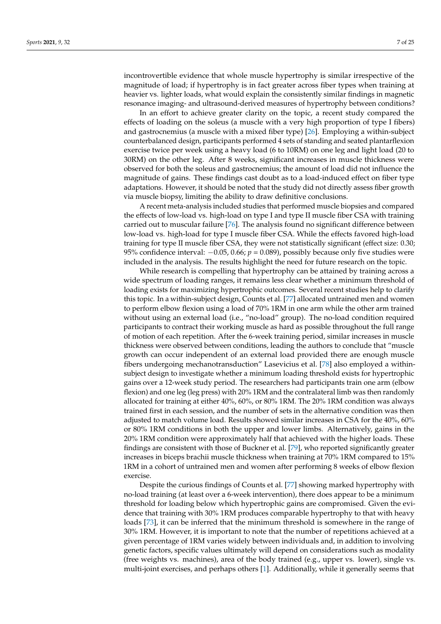incontrovertible evidence that whole muscle hypertrophy is similar irrespective of the magnitude of load; if hypertrophy is in fact greater across fiber types when training at heavier vs. lighter loads, what would explain the consistently similar findings in magnetic resonance imaging- and ultrasound-derived measures of hypertrophy between conditions?

In an effort to achieve greater clarity on the topic, a recent study compared the effects of loading on the soleus (a muscle with a very high proportion of type I fibers) and gastrocnemius (a muscle with a mixed fiber type) [\[26\]](#page-21-4). Employing a within-subject counterbalanced design, participants performed 4 sets of standing and seated plantarflexion exercise twice per week using a heavy load (6 to 10RM) on one leg and light load (20 to 30RM) on the other leg. After 8 weeks, significant increases in muscle thickness were observed for both the soleus and gastrocnemius; the amount of load did not influence the magnitude of gains. These findings cast doubt as to a load-induced effect on fiber type adaptations. However, it should be noted that the study did not directly assess fiber growth via muscle biopsy, limiting the ability to draw definitive conclusions.

A recent meta-analysis included studies that performed muscle biopsies and compared the effects of low-load vs. high-load on type I and type II muscle fiber CSA with training carried out to muscular failure [\[76\]](#page-23-7). The analysis found no significant difference between low-load vs. high-load for type I muscle fiber CSA. While the effects favored high-load training for type II muscle fiber CSA, they were not statistically significant (effect size: 0.30; 95% confidence interval: −0.05, 0.66; *p* = 0.089), possibly because only five studies were included in the analysis. The results highlight the need for future research on the topic.

While research is compelling that hypertrophy can be attained by training across a wide spectrum of loading ranges, it remains less clear whether a minimum threshold of loading exists for maximizing hypertrophic outcomes. Several recent studies help to clarify this topic. In a within-subject design, Counts et al. [\[77\]](#page-23-8) allocated untrained men and women to perform elbow flexion using a load of 70% 1RM in one arm while the other arm trained without using an external load (i.e., "no-load" group). The no-load condition required participants to contract their working muscle as hard as possible throughout the full range of motion of each repetition. After the 6-week training period, similar increases in muscle thickness were observed between conditions, leading the authors to conclude that "muscle growth can occur independent of an external load provided there are enough muscle fibers undergoing mechanotransduction" Lasevicius et al. [\[78\]](#page-23-9) also employed a withinsubject design to investigate whether a minimum loading threshold exists for hypertrophic gains over a 12-week study period. The researchers had participants train one arm (elbow flexion) and one leg (leg press) with 20% 1RM and the contralateral limb was then randomly allocated for training at either 40%, 60%, or 80% 1RM. The 20% 1RM condition was always trained first in each session, and the number of sets in the alternative condition was then adjusted to match volume load. Results showed similar increases in CSA for the 40%, 60% or 80% 1RM conditions in both the upper and lower limbs. Alternatively, gains in the 20% 1RM condition were approximately half that achieved with the higher loads. These findings are consistent with those of Buckner et al. [\[79\]](#page-23-10), who reported significantly greater increases in biceps brachii muscle thickness when training at 70% 1RM compared to 15% 1RM in a cohort of untrained men and women after performing 8 weeks of elbow flexion exercise.

Despite the curious findings of Counts et al. [\[77\]](#page-23-8) showing marked hypertrophy with no-load training (at least over a 6-week intervention), there does appear to be a minimum threshold for loading below which hypertrophic gains are compromised. Given the evidence that training with 30% 1RM produces comparable hypertrophy to that with heavy loads [\[73\]](#page-23-4), it can be inferred that the minimum threshold is somewhere in the range of 30% 1RM. However, it is important to note that the number of repetitions achieved at a given percentage of 1RM varies widely between individuals and, in addition to involving genetic factors, specific values ultimately will depend on considerations such as modality (free weights vs. machines), area of the body trained (e.g., upper vs. lower), single vs. multi-joint exercises, and perhaps others [\[1\]](#page-20-0). Additionally, while it generally seems that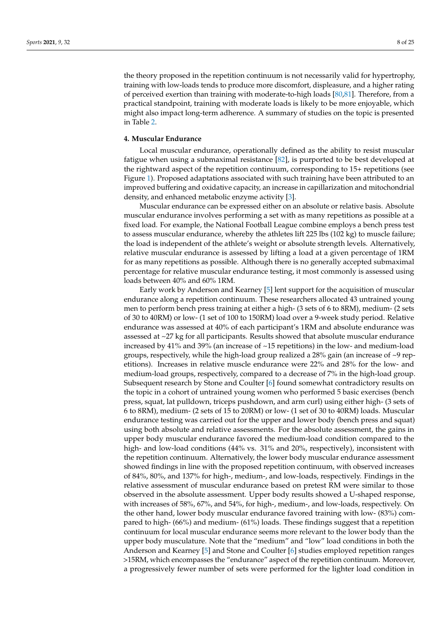the theory proposed in the repetition continuum is not necessarily valid for hypertrophy, training with low-loads tends to produce more discomfort, displeasure, and a higher rating of perceived exertion than training with moderate-to-high loads [\[80](#page-23-11)[,81\]](#page-23-12). Therefore, from a practical standpoint, training with moderate loads is likely to be more enjoyable, which might also impact long-term adherence. A summary of studies on the topic is presented in Table [2.](#page-17-0)

#### **4. Muscular Endurance**

Local muscular endurance, operationally defined as the ability to resist muscular fatigue when using a submaximal resistance [\[82\]](#page-23-13), is purported to be best developed at the rightward aspect of the repetition continuum, corresponding to 15+ repetitions (see Figure [1\)](#page-1-0). Proposed adaptations associated with such training have been attributed to an improved buffering and oxidative capacity, an increase in capillarization and mitochondrial density, and enhanced metabolic enzyme activity [\[3\]](#page-20-2).

Muscular endurance can be expressed either on an absolute or relative basis. Absolute muscular endurance involves performing a set with as many repetitions as possible at a fixed load. For example, the National Football League combine employs a bench press test to assess muscular endurance, whereby the athletes lift 225 lbs (102 kg) to muscle failure; the load is independent of the athlete's weight or absolute strength levels. Alternatively, relative muscular endurance is assessed by lifting a load at a given percentage of 1RM for as many repetitions as possible. Although there is no generally accepted submaximal percentage for relative muscular endurance testing, it most commonly is assessed using loads between 40% and 60% 1RM.

Early work by Anderson and Kearney [\[5\]](#page-20-4) lent support for the acquisition of muscular endurance along a repetition continuum. These researchers allocated 43 untrained young men to perform bench press training at either a high- (3 sets of 6 to 8RM), medium- (2 sets of 30 to 40RM) or low- (1 set of 100 to 150RM) load over a 9-week study period. Relative endurance was assessed at 40% of each participant's 1RM and absolute endurance was assessed at ~27 kg for all participants. Results showed that absolute muscular endurance increased by 41% and 39% (an increase of ~15 repetitions) in the low- and medium-load groups, respectively, while the high-load group realized a  $28\%$  gain (an increase of  $\sim$ 9 repetitions). Increases in relative muscle endurance were 22% and 28% for the low- and medium-load groups, respectively, compared to a decrease of 7% in the high-load group. Subsequent research by Stone and Coulter [\[6\]](#page-20-5) found somewhat contradictory results on the topic in a cohort of untrained young women who performed 5 basic exercises (bench press, squat, lat pulldown, triceps pushdown, and arm curl) using either high- (3 sets of 6 to 8RM), medium- (2 sets of 15 to 20RM) or low- (1 set of 30 to 40RM) loads. Muscular endurance testing was carried out for the upper and lower body (bench press and squat) using both absolute and relative assessments. For the absolute assessment, the gains in upper body muscular endurance favored the medium-load condition compared to the high- and low-load conditions (44% vs. 31% and 20%, respectively), inconsistent with the repetition continuum. Alternatively, the lower body muscular endurance assessment showed findings in line with the proposed repetition continuum, with observed increases of 84%, 80%, and 137% for high-, medium-, and low-loads, respectively. Findings in the relative assessment of muscular endurance based on pretest RM were similar to those observed in the absolute assessment. Upper body results showed a U-shaped response, with increases of 58%, 67%, and 54%, for high-, medium-, and low-loads, respectively. On the other hand, lower body muscular endurance favored training with low- (83%) compared to high- (66%) and medium- (61%) loads. These findings suggest that a repetition continuum for local muscular endurance seems more relevant to the lower body than the upper body musculature. Note that the "medium" and "low" load conditions in both the Anderson and Kearney [\[5\]](#page-20-4) and Stone and Coulter [\[6\]](#page-20-5) studies employed repetition ranges >15RM, which encompasses the "endurance" aspect of the repetition continuum. Moreover, a progressively fewer number of sets were performed for the lighter load condition in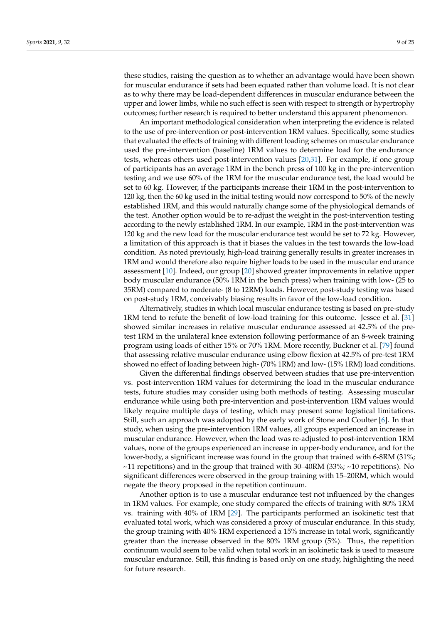these studies, raising the question as to whether an advantage would have been shown for muscular endurance if sets had been equated rather than volume load. It is not clear as to why there may be load-dependent differences in muscular endurance between the upper and lower limbs, while no such effect is seen with respect to strength or hypertrophy outcomes; further research is required to better understand this apparent phenomenon.

An important methodological consideration when interpreting the evidence is related to the use of pre-intervention or post-intervention 1RM values. Specifically, some studies that evaluated the effects of training with different loading schemes on muscular endurance used the pre-intervention (baseline) 1RM values to determine load for the endurance tests, whereas others used post-intervention values [\[20](#page-20-18)[,31\]](#page-21-9). For example, if one group of participants has an average 1RM in the bench press of 100 kg in the pre-intervention testing and we use 60% of the 1RM for the muscular endurance test, the load would be set to 60 kg. However, if the participants increase their 1RM in the post-intervention to 120 kg, then the 60 kg used in the initial testing would now correspond to 50% of the newly established 1RM, and this would naturally change some of the physiological demands of the test. Another option would be to re-adjust the weight in the post-intervention testing according to the newly established 1RM. In our example, 1RM in the post-intervention was 120 kg and the new load for the muscular endurance test would be set to 72 kg. However, a limitation of this approach is that it biases the values in the test towards the low-load condition. As noted previously, high-load training generally results in greater increases in 1RM and would therefore also require higher loads to be used in the muscular endurance assessment [\[10\]](#page-20-9). Indeed, our group [\[20\]](#page-20-18) showed greater improvements in relative upper body muscular endurance (50% 1RM in the bench press) when training with low- (25 to 35RM) compared to moderate- (8 to 12RM) loads. However, post-study testing was based on post-study 1RM, conceivably biasing results in favor of the low-load condition.

Alternatively, studies in which local muscular endurance testing is based on pre-study 1RM tend to refute the benefit of low-load training for this outcome. Jessee et al. [\[31\]](#page-21-9) showed similar increases in relative muscular endurance assessed at 42.5% of the pretest 1RM in the unilateral knee extension following performance of an 8-week training program using loads of either 15% or 70% 1RM. More recently, Buckner et al. [\[79\]](#page-23-10) found that assessing relative muscular endurance using elbow flexion at 42.5% of pre-test 1RM showed no effect of loading between high- (70% 1RM) and low- (15% 1RM) load conditions.

Given the differential findings observed between studies that use pre-intervention vs. post-intervention 1RM values for determining the load in the muscular endurance tests, future studies may consider using both methods of testing. Assessing muscular endurance while using both pre-intervention and post-intervention 1RM values would likely require multiple days of testing, which may present some logistical limitations. Still, such an approach was adopted by the early work of Stone and Coulter [\[6\]](#page-20-5). In that study, when using the pre-intervention 1RM values, all groups experienced an increase in muscular endurance. However, when the load was re-adjusted to post-intervention 1RM values, none of the groups experienced an increase in upper-body endurance, and for the lower-body, a significant increase was found in the group that trained with 6-8RM (31%;  $\sim$ 11 repetitions) and in the group that trained with 30–40RM (33%;  $\sim$ 10 repetitions). No significant differences were observed in the group training with 15–20RM, which would negate the theory proposed in the repetition continuum.

Another option is to use a muscular endurance test not influenced by the changes in 1RM values. For example, one study compared the effects of training with 80% 1RM vs. training with 40% of 1RM [\[29\]](#page-21-7). The participants performed an isokinetic test that evaluated total work, which was considered a proxy of muscular endurance. In this study, the group training with 40% 1RM experienced a 15% increase in total work, significantly greater than the increase observed in the 80% 1RM group (5%). Thus, the repetition continuum would seem to be valid when total work in an isokinetic task is used to measure muscular endurance. Still, this finding is based only on one study, highlighting the need for future research.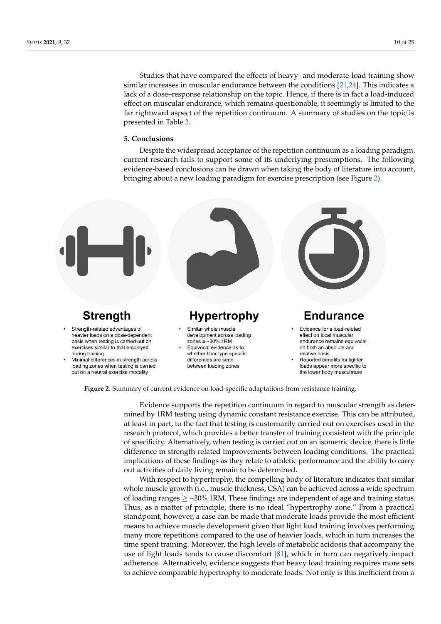Studies that have compared the effects of heavy- and moderate-load training show Studies that have compared the effects of heavy- and moderate-load training show similar increases in muscular endurance between the conditions [\[21,](#page-21-22)[24\]](#page-21-2). This indicates a similar increases in muscular endurance between the conditions [21,24]. This indicates a lack of a dose–response relationship on the topic. Hence, if there is in fact a load-induced lack of a dose–response relationship on the topic. Hence, if there is in fact a load-induced effect on muscular endurance, which remains questionable, it seemingly is limited to the effect on muscular endurance, which remains questionable, it seemingly is limited to the far rightward aspect of the repetition continuum. A summary of studies on the topic is far rightward aspect of the repetition continuum. A summary of studies on the topic is presented in Table [3.](#page-19-0) presented in Table 3.

muscular endurance. Still, this finding is based on one study, highlighting the needed only one study, highlighting the needed only one study, highlighting the needed on  $\mathcal{L}_\text{max}$ 

# **5. Conclusions 5. Conclusions**

Despite the widespread acceptance of the repetition continuum as a loading paradigm, current research fails to support some of its underlying presumptions. The following evidence-based conclusions can be drawn when taking the body of literature into account, bringing about a new loading paradigm for exercise prescription (see Figure [2\)](#page-9-0).

<span id="page-9-0"></span>

**Figure 2.** Summary of current evidence on load-specific adaptations from resistance training.

mined by 1RM testing using dynamic constant resistance exercise. This can be attributed, at least in part, to the fact that testing is customarily carried out on exercises used in the Evidence supports the repetition continuum in regard to muscular strength as deterresearch protocol, which provides a better transfer of training consistent with the principle of specificity. Alternatively, when testing is carried out on an isometric device, there is little difference in strength-related improvements between loading conditions. The practical implications of these findings as they relate to athletic performance and the ability to carry out activities of daily living remain to be determined.

With respect to hypertrophy, the compelling body of literature indicates that similar whole muscle growth (i.e., muscle thickness, CSA) can be achieved across a wide spectrum of loading ranges  $\geq$  ~30% 1RM. These findings are independent of age and training status. Thus, as a matter of principle, there is no ideal "hypertrophy zone." From a practical standpoint, however, a case can be made that moderate loads provide the most efficient means to achieve muscle development given that light load training involves performing many more repetitions compared to the use of heavier loads, which in turn increases the time spent training. Moreover, the high levels of metabolic acidosis that accompany the use of light loads tends to cause discomfort [\[81\]](#page-23-12), which in turn can negatively impact adherence. Alternatively, evidence suggests that heavy load training requires more sets to achieve comparable hypertrophy to moderate loads. Not only is this inefficient from a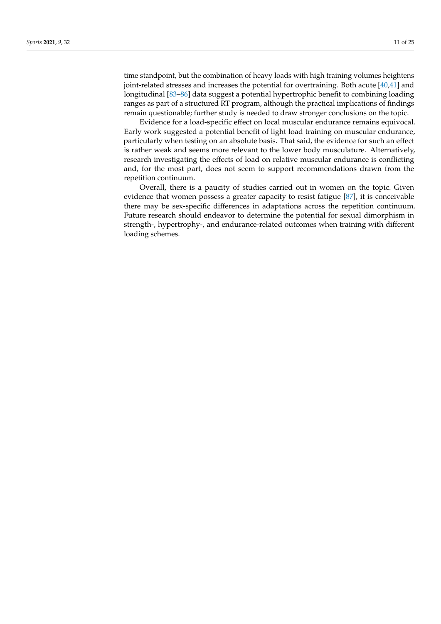time standpoint, but the combination of heavy loads with high training volumes heightens joint-related stresses and increases the potential for overtraining. Both acute [\[40,](#page-21-18)[41\]](#page-21-19) and longitudinal [\[83–](#page-23-14)[86\]](#page-23-15) data suggest a potential hypertrophic benefit to combining loading ranges as part of a structured RT program, although the practical implications of findings remain questionable; further study is needed to draw stronger conclusions on the topic.

Evidence for a load-specific effect on local muscular endurance remains equivocal. Early work suggested a potential benefit of light load training on muscular endurance, particularly when testing on an absolute basis. That said, the evidence for such an effect is rather weak and seems more relevant to the lower body musculature. Alternatively, research investigating the effects of load on relative muscular endurance is conflicting and, for the most part, does not seem to support recommendations drawn from the repetition continuum.

Overall, there is a paucity of studies carried out in women on the topic. Given evidence that women possess a greater capacity to resist fatigue [\[87\]](#page-23-16), it is conceivable there may be sex-specific differences in adaptations across the repetition continuum. Future research should endeavor to determine the potential for sexual dimorphism in strength-, hypertrophy-, and endurance-related outcomes when training with different loading schemes.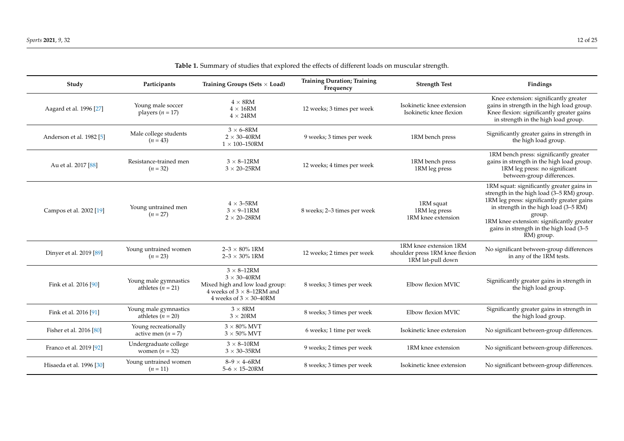| Study                               | Participants                                 | Training Groups (Sets $\times$ Load)                                                                                                                     | <b>Training Duration; Training</b><br>Frequency | <b>Strength Test</b>                                                           | Findings                                                                                                                                                                                                                                                                                      |
|-------------------------------------|----------------------------------------------|----------------------------------------------------------------------------------------------------------------------------------------------------------|-------------------------------------------------|--------------------------------------------------------------------------------|-----------------------------------------------------------------------------------------------------------------------------------------------------------------------------------------------------------------------------------------------------------------------------------------------|
| Aagard et al. 1996 [27]             | Young male soccer<br>players ( $n = 17$ )    | $4 \times 8$ RM<br>$4 \times 16$ RM<br>$4 \times 24RM$                                                                                                   | 12 weeks; 3 times per week                      | Isokinetic knee extension<br>Isokinetic knee flexion                           | Knee extension: significantly greater<br>gains in strength in the high load group.<br>Knee flexion: significantly greater gains<br>in strength in the high load group.                                                                                                                        |
| Anderson et al. 1982 <sup>[5]</sup> | Male college students<br>$(n = 43)$          | $3 \times 6 - 8$ RM<br>$2 \times 30 - 40$ RM<br>$1 \times 100 - 150$ RM                                                                                  | 9 weeks; 3 times per week                       | 1RM bench press                                                                | Significantly greater gains in strength in<br>the high load group.                                                                                                                                                                                                                            |
| Au et al. 2017 [88]                 | Resistance-trained men<br>$(n = 32)$         | $3 \times 8 - 12$ RM<br>$3 \times 20 - 25$ RM                                                                                                            | 12 weeks; 4 times per week                      | 1RM bench press<br>1RM leg press                                               | 1RM bench press: significantly greater<br>gains in strength in the high load group.<br>1RM leg press: no significant<br>between-group differences.                                                                                                                                            |
| Campos et al. 2002 [19]             | Young untrained men<br>$(n = 27)$            | $4 \times 3 - 5RM$<br>$3 \times 9 - 11$ RM<br>$2 \times 20 - 28$ RM                                                                                      | 8 weeks; 2-3 times per week                     | 1RM squat<br>1RM leg press<br>1RM knee extension                               | 1RM squat: significantly greater gains in<br>strength in the high load (3-5 RM) group.<br>1RM leg press: significantly greater gains<br>in strength in the high load (3-5 RM)<br>group.<br>1RM knee extension: significantly greater<br>gains in strength in the high load (3-5<br>RM) group. |
| Dinyer et al. 2019 [89]             | Young untrained women<br>$(n = 23)$          | $2 - 3 \times 80\%$ 1RM<br>$2 - 3 \times 30\%$ 1RM                                                                                                       | 12 weeks; 2 times per week                      | 1RM knee extension 1RM<br>shoulder press 1RM knee flexion<br>1RM lat-pull down | No significant between-group differences<br>in any of the 1RM tests.                                                                                                                                                                                                                          |
| Fink et al. 2016 [90]               | Young male gymnastics<br>athletes $(n = 21)$ | $3 \times 8 - 12$ RM<br>$3 \times 30 - 40$ RM<br>Mixed high and low load group:<br>4 weeks of $3 \times 8$ -12RM and<br>4 weeks of $3 \times 30 - 40$ RM | 8 weeks; 3 times per week                       | Elbow flexion MVIC                                                             | Significantly greater gains in strength in<br>the high load group.                                                                                                                                                                                                                            |
| Fink et al. 2016 [91]               | Young male gymnastics<br>athletes $(n = 20)$ | $3 \times 8$ RM<br>$3 \times 20$ RM                                                                                                                      | 8 weeks; 3 times per week                       | Elbow flexion MVIC                                                             | Significantly greater gains in strength in<br>the high load group.                                                                                                                                                                                                                            |
| Fisher et al. 2016 [80]             | Young recreationally<br>active men $(n = 7)$ | $3 \times 80\%$ MVT<br>$3 \times 50\%$ MVT                                                                                                               | 6 weeks; 1 time per week                        | Isokinetic knee extension                                                      | No significant between-group differences.                                                                                                                                                                                                                                                     |
| Franco et al. 2019 [92]             | Undergraduate college<br>women $(n = 32)$    | $3 \times 8 - 10$ RM<br>$3 \times 30 - 35$ RM                                                                                                            | 9 weeks; 2 times per week                       | 1RM knee extension                                                             | No significant between-group differences.                                                                                                                                                                                                                                                     |
| Hisaeda et al. 1996 [30]            | Young untrained women<br>$(n = 11)$          | $8-9 \times 4-6$ RM<br>$5 - 6 \times 15 - 20$ RM                                                                                                         | 8 weeks; 3 times per week                       | Isokinetic knee extension                                                      | No significant between-group differences.                                                                                                                                                                                                                                                     |

| Table 1. Summary of studies that explored the effects of different loads on muscular strength. |  |
|------------------------------------------------------------------------------------------------|--|
|------------------------------------------------------------------------------------------------|--|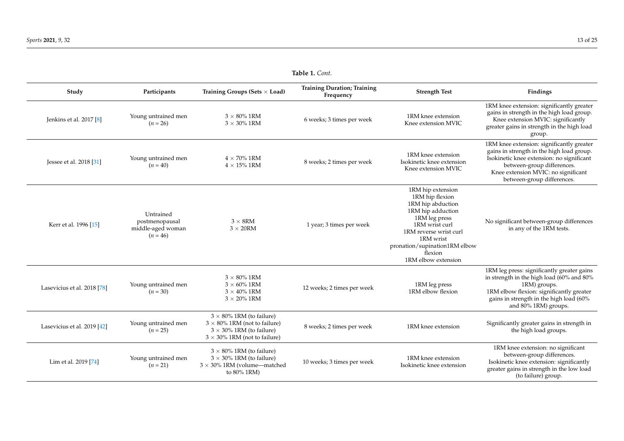| Study                       | Participants                                                   | Training Groups (Sets $\times$ Load)                                                                                                                 | <b>Training Duration; Training</b><br>Frequency | <b>Strength Test</b>                                                                                                                                                                                                        | Findings                                                                                                                                                                                                                               |
|-----------------------------|----------------------------------------------------------------|------------------------------------------------------------------------------------------------------------------------------------------------------|-------------------------------------------------|-----------------------------------------------------------------------------------------------------------------------------------------------------------------------------------------------------------------------------|----------------------------------------------------------------------------------------------------------------------------------------------------------------------------------------------------------------------------------------|
| Jenkins et al. 2017 [8]     | Young untrained men<br>$(n = 26)$                              | $3 \times 80\%$ 1RM<br>$3 \times 30\%$ 1RM                                                                                                           | 6 weeks; 3 times per week                       | 1RM knee extension<br>Knee extension MVIC                                                                                                                                                                                   | 1RM knee extension: significantly greater<br>gains in strength in the high load group.<br>Knee extension MVIC: significantly<br>greater gains in strength in the high load<br>group.                                                   |
| Jessee et al. 2018 [31]     | Young untrained men<br>$(n = 40)$                              | $4 \times 70\%$ 1RM<br>$4 \times 15\%$ 1RM                                                                                                           | 8 weeks; 2 times per week                       | 1RM knee extension<br>Isokinetic knee extension<br>Knee extension MVIC                                                                                                                                                      | 1RM knee extension: significantly greater<br>gains in strength in the high load group.<br>Isokinetic knee extension: no significant<br>between-group differences.<br>Knee extension MVIC: no significant<br>between-group differences. |
| Kerr et al. 1996 [15]       | Untrained<br>postmenopausal<br>middle-aged woman<br>$(n = 46)$ | $3 \times 8$ RM<br>$3 \times 20$ RM                                                                                                                  | 1 year; 3 times per week                        | 1RM hip extension<br>1RM hip flexion<br>1RM hip abduction<br>1RM hip adduction<br>1RM leg press<br>1RM wrist curl<br>1RM reverse wrist curl<br>1RM wrist<br>pronation/supination1RM elbow<br>flexion<br>1RM elbow extension | No significant between-group differences<br>in any of the 1RM tests.                                                                                                                                                                   |
| Lasevicius et al. 2018 [78] | Young untrained men<br>$(n = 30)$                              | $3 \times 80\%$ 1RM<br>$3 \times 60\%$ 1RM<br>$3 \times 40\%$ 1RM<br>$3 \times 20\%$ 1RM                                                             | 12 weeks; 2 times per week                      | 1RM leg press<br>1RM elbow flexion                                                                                                                                                                                          | 1RM leg press: significantly greater gains<br>in strength in the high load (60% and 80%<br>1RM) groups.<br>1RM elbow flexion: significantly greater<br>gains in strength in the high load (60%<br>and 80% 1RM) groups.                 |
| Lasevicius et al. 2019 [42] | Young untrained men<br>$(n = 25)$                              | $3 \times 80\%$ 1RM (to failure)<br>$3 \times 80\%$ 1RM (not to failure)<br>$3 \times 30\%$ 1RM (to failure)<br>$3 \times 30\%$ 1RM (not to failure) | 8 weeks; 2 times per week                       | 1RM knee extension                                                                                                                                                                                                          | Significantly greater gains in strength in<br>the high load groups.                                                                                                                                                                    |
| Lim et al. 2019 [74]        | Young untrained men<br>$(n = 21)$                              | $3 \times 80\%$ 1RM (to failure)<br>$3 \times 30\%$ 1RM (to failure)<br>$3 \times 30\%$ 1RM (volume-matched<br>to 80% 1RM)                           | 10 weeks; 3 times per week                      | 1RM knee extension<br>Isokinetic knee extension                                                                                                                                                                             | 1RM knee extension: no significant<br>between-group differences.<br>Isokinetic knee extension: significantly<br>greater gains in strength in the low load<br>(to failure) group.                                                       |

**Table 1.** *Cont.*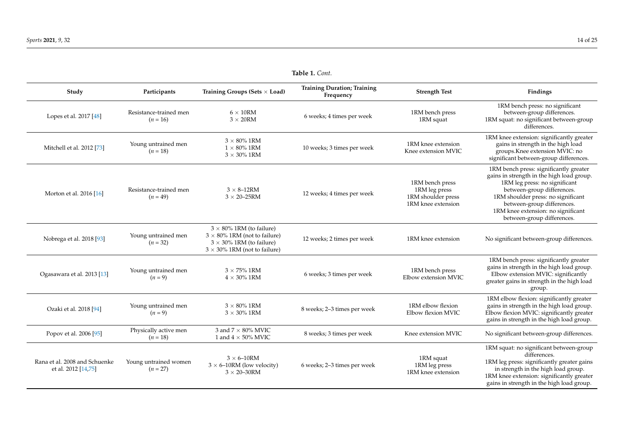| Study                                                | Participants                         | Training Groups (Sets $\times$ Load)                                                                                                                 | <b>Training Duration; Training</b><br>Frequency | <b>Strength Test</b>                                                         | Findings                                                                                                                                                                                                                                                                                   |
|------------------------------------------------------|--------------------------------------|------------------------------------------------------------------------------------------------------------------------------------------------------|-------------------------------------------------|------------------------------------------------------------------------------|--------------------------------------------------------------------------------------------------------------------------------------------------------------------------------------------------------------------------------------------------------------------------------------------|
| Lopes et al. 2017 [48]                               | Resistance-trained men<br>$(n = 16)$ | $6 \times 10$ RM<br>$3 \times 20$ RM                                                                                                                 | 6 weeks; 4 times per week                       | 1RM bench press<br>1RM squat                                                 | 1RM bench press: no significant<br>between-group differences.<br>1RM squat: no significant between-group<br>differences.                                                                                                                                                                   |
| Mitchell et al. 2012 [73]                            | Young untrained men<br>$(n = 18)$    | $3 \times 80\%$ 1RM<br>$1 \times 80\%$ 1RM<br>$3 \times 30\%$ 1RM                                                                                    | 10 weeks; 3 times per week                      | 1RM knee extension<br>Knee extension MVIC                                    | 1RM knee extension: significantly greater<br>gains in strength in the high load<br>groups.Knee extension MVIC: no<br>significant between-group differences.                                                                                                                                |
| Morton et al. 2016 [16]                              | Resistance-trained men<br>$(n = 49)$ | $3 \times 8 - 12$ RM<br>$3 \times 20 - 25$ RM                                                                                                        | 12 weeks; 4 times per week                      | 1RM bench press<br>1RM leg press<br>1RM shoulder press<br>1RM knee extension | 1RM bench press: significantly greater<br>gains in strength in the high load group.<br>1RM leg press: no significant<br>between-group differences.<br>1RM shoulder press: no significant<br>between-group differences.<br>1RM knee extension: no significant<br>between-group differences. |
| Nobrega et al. 2018 [93]                             | Young untrained men<br>$(n = 32)$    | $3 \times 80\%$ 1RM (to failure)<br>$3 \times 80\%$ 1RM (not to failure)<br>$3 \times 30\%$ 1RM (to failure)<br>$3 \times 30\%$ 1RM (not to failure) | 12 weeks; 2 times per week                      | 1RM knee extension                                                           | No significant between-group differences.                                                                                                                                                                                                                                                  |
| Ogasawara et al. 2013 [13]                           | Young untrained men<br>$(n = 9)$     | $3 \times 75\%$ 1RM<br>$4 \times 30\%$ 1RM                                                                                                           | 6 weeks; 3 times per week                       | 1RM bench press<br>Elbow extension MVIC                                      | 1RM bench press: significantly greater<br>gains in strength in the high load group.<br>Elbow extension MVIC: significantly<br>greater gains in strength in the high load<br>group.                                                                                                         |
| Ozaki et al. 2018 [94]                               | Young untrained men<br>$(n = 9)$     | $3 \times 80\%$ 1RM<br>$3 \times 30\%$ 1RM                                                                                                           | 8 weeks; 2-3 times per week                     | 1RM elbow flexion<br>Elbow flexion MVIC                                      | 1RM elbow flexion: significantly greater<br>gains in strength in the high load group.<br>Elbow flexion MVIC: significantly greater<br>gains in strength in the high load group.                                                                                                            |
| Popov et al. 2006 [95]                               | Physically active men<br>$(n = 18)$  | 3 and $7 \times 80\%$ MVIC<br>1 and $4 \times 50\%$ MVIC                                                                                             | 8 weeks; 3 times per week                       | Knee extension MVIC                                                          | No significant between-group differences.                                                                                                                                                                                                                                                  |
| Rana et al. 2008 and Schuenke<br>et al. 2012 [14,75] | Young untrained women<br>$(n = 27)$  | $3 \times 6 - 10$ RM<br>$3 \times 6$ -10RM (low velocity)<br>$3 \times 20 - 30$ RM                                                                   | 6 weeks; 2-3 times per week                     | 1RM squat<br>1RM leg press<br>1RM knee extension                             | 1RM squat: no significant between-group<br>differences.<br>1RM leg press: significantly greater gains<br>in strength in the high load group.<br>1RM knee extension: significantly greater<br>gains in strength in the high load group.                                                     |

**Table 1.** *Cont.*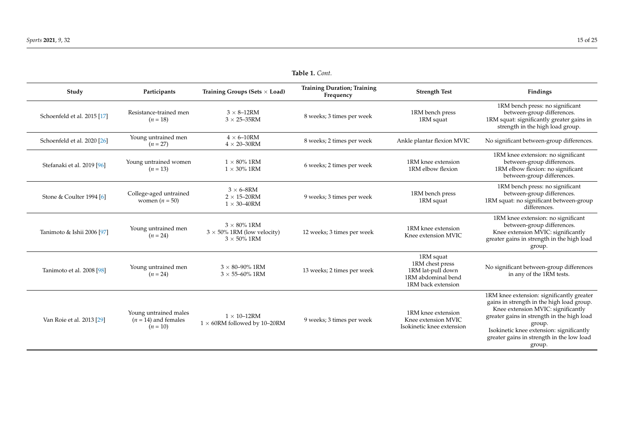| Study                       | Participants                                                  | Training Groups (Sets $\times$ Load)                                             | <b>Training Duration; Training</b><br>Frequency | <b>Strength Test</b>                                                                          | Findings                                                                                                                                                                                                                                                                                |  |
|-----------------------------|---------------------------------------------------------------|----------------------------------------------------------------------------------|-------------------------------------------------|-----------------------------------------------------------------------------------------------|-----------------------------------------------------------------------------------------------------------------------------------------------------------------------------------------------------------------------------------------------------------------------------------------|--|
| Schoenfeld et al. 2015 [17] | Resistance-trained men<br>$(n = 18)$                          | $3 \times 8 - 12$ RM<br>$3 \times 25 - 35$ RM                                    | 8 weeks; 3 times per week                       | 1RM bench press<br>1RM squat                                                                  | 1RM bench press: no significant<br>between-group differences.<br>1RM squat: significantly greater gains in<br>strength in the high load group.                                                                                                                                          |  |
| Schoenfeld et al. 2020 [26] | Young untrained men<br>$(n = 27)$                             | $4 \times 6 - 10$ RM<br>$4 \times 20 - 30$ RM                                    | 8 weeks; 2 times per week                       | Ankle plantar flexion MVIC                                                                    | No significant between-group differences.                                                                                                                                                                                                                                               |  |
| Stefanaki et al. 2019 [96]  | Young untrained women<br>$(n = 13)$                           | $1 \times 80\%$ 1RM<br>$1 \times 30\%$ 1RM                                       | 6 weeks; 2 times per week                       | 1RM knee extension<br>1RM elbow flexion                                                       | 1RM knee extension: no significant<br>between-group differences.<br>1RM elbow flexion: no significant<br>between-group differences.                                                                                                                                                     |  |
| Stone & Coulter 1994 [6]    | College-aged untrained<br>women $(n = 50)$                    | $3 \times 6 - 8$ RM<br>$2 \times 15 - 20$ RM<br>$1 \times 30 - 40$ RM            | 9 weeks; 3 times per week                       | 1RM bench press<br>1RM squat                                                                  | 1RM bench press: no significant<br>between-group differences.<br>1RM squat: no significant between-group<br>differences.                                                                                                                                                                |  |
| Tanimoto & Ishii 2006 [97]  | Young untrained men<br>$(n = 24)$                             | $3 \times 80\%$ 1RM<br>$3 \times 50\%$ 1RM (low velocity)<br>$3 \times 50\%$ 1RM | 12 weeks; 3 times per week                      | 1RM knee extension<br>Knee extension MVIC                                                     | 1RM knee extension: no significant<br>between-group differences.<br>Knee extension MVIC: significantly<br>greater gains in strength in the high load<br>group.                                                                                                                          |  |
| Tanimoto et al. 2008 [98]   | Young untrained men<br>$(n = 24)$                             | $3 \times 80 - 90\%$ 1RM<br>$3 \times 55 - 60\%$ 1RM                             | 13 weeks; 2 times per week                      | 1RM squat<br>1RM chest press<br>1RM lat-pull down<br>1RM abdominal bend<br>1RM back extension | No significant between-group differences<br>in any of the 1RM tests.                                                                                                                                                                                                                    |  |
| Van Roie et al. 2013 [29]   | Young untrained males<br>$(n = 14)$ and females<br>$(n = 10)$ | $1 \times 10$ -12RM<br>$1 \times 60$ RM followed by 10-20RM                      | 9 weeks; 3 times per week                       | 1RM knee extension<br>Knee extension MVIC<br>Isokinetic knee extension                        | 1RM knee extension: significantly greater<br>gains in strength in the high load group.<br>Knee extension MVIC: significantly<br>greater gains in strength in the high load<br>group.<br>Isokinetic knee extension: significantly<br>greater gains in strength in the low load<br>group. |  |

#### **Table 1.** *Cont.*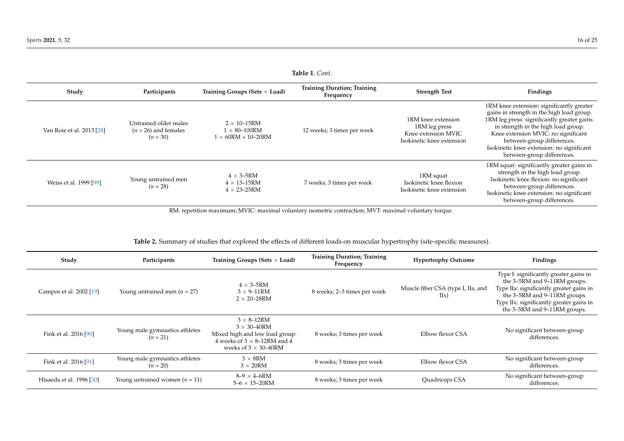| 1 <b>abie 1.</b> Cont.    |                                                               |                                                                            |                                                 |                                                                                         |                                                                                                                                                                                                                                                                                                                             |  |
|---------------------------|---------------------------------------------------------------|----------------------------------------------------------------------------|-------------------------------------------------|-----------------------------------------------------------------------------------------|-----------------------------------------------------------------------------------------------------------------------------------------------------------------------------------------------------------------------------------------------------------------------------------------------------------------------------|--|
| Study                     | Participants                                                  | Training Groups (Sets $\times$ Load)                                       | <b>Training Duration; Training</b><br>Frequency | <b>Strength Test</b>                                                                    | Findings                                                                                                                                                                                                                                                                                                                    |  |
| Van Roie et al. 2013 [28] | Untrained older males<br>$(n = 26)$ and females<br>$(n = 30)$ | $2 \times 10$ –15RM<br>$1 \times 80 - 100$ RM<br>$1 \times 60RM + 10-20RM$ | 12 weeks; 3 times per week                      | 1RM knee extension<br>1RM leg press<br>Knee extension MVIC<br>Isokinetic knee extension | 1RM knee extension: significantly greater<br>gains in strength in the high load group.<br>1RM leg press: significantly greater gains<br>in strength in the high load group.<br>Knee extension MVIC: no significant<br>between-group differences.<br>Isokinetic knee extension: no significant<br>between-group differences. |  |
| Weiss et al. 1999 [99]    | Young untrained men<br>$(n = 28)$                             | $4 \times 3 - 5RM$<br>$4 \times 13 - 15$ RM<br>$4 \times 23 - 25$ RM       | 7 weeks; 3 times per week                       | 1RM squat<br>Isokinetic knee flexion<br>Isokinetic knee extension                       | 1RM squat: significantly greater gains in<br>strength in the high load group.<br>Isokinetic knee flexion: no significant<br>between-group differences.<br>Isokinetic knee extension: no significant<br>between-group differences.                                                                                           |  |

RM: repetition maximum; MVIC: maximal voluntary isometric contraction; MVT: maximal voluntary torque.

**Table 2.** Summary of studies that explored the effects of different loads on muscular hypertrophy (site-specific measures).

<span id="page-15-0"></span>

| Study                    | Participants                                 | Training Groups (Sets $\times$ Load)                                                                                                                     | <b>Training Duration; Training</b><br>Frequency | <b>Hypertrophy Outcome</b>                 | Findings                                                                                                                                                                                                                       |
|--------------------------|----------------------------------------------|----------------------------------------------------------------------------------------------------------------------------------------------------------|-------------------------------------------------|--------------------------------------------|--------------------------------------------------------------------------------------------------------------------------------------------------------------------------------------------------------------------------------|
| Campos et al. 2002 [19]  | Young untrained men ( $n = 27$ )             | $4 \times 3 - 5RM$<br>$3 \times 9 - 11$ RM<br>$2 \times 20 - 28$ RM                                                                                      | 8 weeks; 2-3 times per week                     | Muscle fiber CSA (type I, IIa, and<br>IIx) | Type I: significantly greater gains in<br>the 3–5RM and 9–11RM groups.<br>Type IIa: significantly greater gains in<br>the 3-5RM and 9-11RM groups.<br>Type IIx: significantly greater gains in<br>the 3-5RM and 9-11RM groups. |
| Fink et al. 2016 [90]    | Young male gymnastics athletes<br>$(n = 21)$ | $3 \times 8 - 12$ RM<br>$3 \times 30 - 40$ RM<br>Mixed high and low load group:<br>4 weeks of $3 \times 8$ –12RM and 4<br>weeks of $3 \times 30 - 40$ RM | 8 weeks; 3 times per week                       | Elbow flexor CSA                           | No significant between-group<br>differences.                                                                                                                                                                                   |
| Fink et al. 2016 [91]    | Young male gymnastics athletes<br>$(n = 20)$ | $3 \times 8$ RM<br>$3 \times 20$ RM                                                                                                                      | 8 weeks; 3 times per week                       | Elbow flexor CSA                           | No significant between-group<br>differences.                                                                                                                                                                                   |
| Hisaeda et al. 1996 [30] | Young untrained women ( $n = 11$ )           | $8-9 \times 4-6$ RM<br>$5 - 6 \times 15 - 20$ RM                                                                                                         | 8 weeks; 3 times per week                       | Quadriceps CSA                             | No significant between-group<br>differences.                                                                                                                                                                                   |

**Table 1.** *Cont.*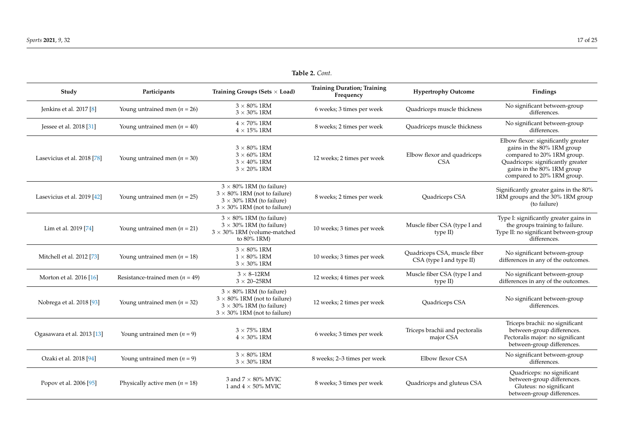| Study                       | Participants                        | Training Groups (Sets $\times$ Load)                                                                                                                 | <b>Training Duration; Training</b><br>Frequency | <b>Hypertrophy Outcome</b>                               | Findings                                                                                                                                                                                         |
|-----------------------------|-------------------------------------|------------------------------------------------------------------------------------------------------------------------------------------------------|-------------------------------------------------|----------------------------------------------------------|--------------------------------------------------------------------------------------------------------------------------------------------------------------------------------------------------|
| Jenkins et al. 2017 [8]     | Young untrained men ( $n = 26$ )    | $3 \times 80\%$ 1RM<br>$3 \times 30\%$ 1RM                                                                                                           | 6 weeks; 3 times per week                       | Quadriceps muscle thickness                              | No significant between-group<br>differences.                                                                                                                                                     |
| Jessee et al. 2018 [31]     | Young untrained men ( $n = 40$ )    | $4 \times 70\%$ 1RM<br>$4 \times 15\%$ 1RM                                                                                                           | 8 weeks; 2 times per week                       | Quadriceps muscle thickness                              | No significant between-group<br>differences.                                                                                                                                                     |
| Lasevicius et al. 2018 [78] | Young untrained men ( $n = 30$ )    | $3 \times 80\%$ 1RM<br>$3 \times 60\%$ 1RM<br>$3 \times 40\%$ 1RM<br>$3 \times 20\%$ 1RM                                                             | 12 weeks; 2 times per week                      | Elbow flexor and quadriceps<br><b>CSA</b>                | Elbow flexor: significantly greater<br>gains in the 80% 1RM group<br>compared to 20% 1RM group.<br>Quadriceps: significantly greater<br>gains in the 80% 1RM group<br>compared to 20% 1RM group. |
| Lasevicius et al. 2019 [42] | Young untrained men ( $n = 25$ )    | $3 \times 80\%$ 1RM (to failure)<br>$3 \times 80\%$ 1RM (not to failure)<br>$3 \times 30\%$ 1RM (to failure)<br>$3 \times 30\%$ 1RM (not to failure) | 8 weeks; 2 times per week                       | Quadriceps CSA                                           | Significantly greater gains in the 80%<br>1RM groups and the 30% 1RM group<br>(to failure)                                                                                                       |
| Lim et al. 2019 [74]        | Young untrained men ( $n = 21$ )    | $3 \times 80\%$ 1RM (to failure)<br>$3 \times 30\%$ 1RM (to failure)<br>$3 \times 30\%$ 1RM (volume-matched<br>to 80% 1RM)                           | 10 weeks; 3 times per week                      | Muscle fiber CSA (type I and<br>type $II$ )              | Type I: significantly greater gains in<br>the groups training to failure.<br>Type II: no significant between-group<br>differences.                                                               |
| Mitchell et al. 2012 [73]   | Young untrained men ( $n = 18$ )    | $3 \times 80\%$ 1RM<br>$1 \times 80\%$ 1RM<br>$3 \times 30\%$ 1RM                                                                                    | 10 weeks; 3 times per week                      | Quadriceps CSA, muscle fiber<br>CSA (type I and type II) | No significant between-group<br>differences in any of the outcomes.                                                                                                                              |
| Morton et al. 2016 [16]     | Resistance-trained men ( $n = 49$ ) | $3 \times 8 - 12$ RM<br>$3 \times 20 - 25$ RM                                                                                                        | 12 weeks; 4 times per week                      | Muscle fiber CSA (type I and<br>type II)                 | No significant between-group<br>differences in any of the outcomes.                                                                                                                              |
| Nobrega et al. 2018 [93]    | Young untrained men ( $n = 32$ )    | $3 \times 80\%$ 1RM (to failure)<br>$3 \times 80\%$ 1RM (not to failure)<br>$3 \times 30\%$ 1RM (to failure)<br>$3 \times 30\%$ 1RM (not to failure) | 12 weeks; 2 times per week                      | Quadriceps CSA                                           | No significant between-group<br>differences.                                                                                                                                                     |
| Ogasawara et al. 2013 [13]  | Young untrained men ( $n = 9$ )     | $3 \times 75\%$ 1RM<br>$4 \times 30\%$ 1RM                                                                                                           | 6 weeks; 3 times per week                       | Triceps brachii and pectoralis<br>major CSA              | Triceps brachii: no significant<br>between-group differences.<br>Pectoralis major: no significant<br>between-group differences.                                                                  |
| Ozaki et al. 2018 [94]      | Young untrained men $(n = 9)$       | $3 \times 80\%$ 1RM<br>$3 \times 30\%$ 1RM                                                                                                           | 8 weeks; 2-3 times per week                     | Elbow flexor CSA                                         | No significant between-group<br>differences.                                                                                                                                                     |
| Popov et al. 2006 [95]      | Physically active men ( $n = 18$ )  | 3 and $7 \times 80\%$ MVIC<br>1 and $4 \times 50\%$ MVIC                                                                                             | 8 weeks; 3 times per week                       | Quadriceps and gluteus CSA                               | Quadriceps: no significant<br>between-group differences.<br>Gluteus: no significant<br>between-group differences.                                                                                |

**Table 2.** *Cont.*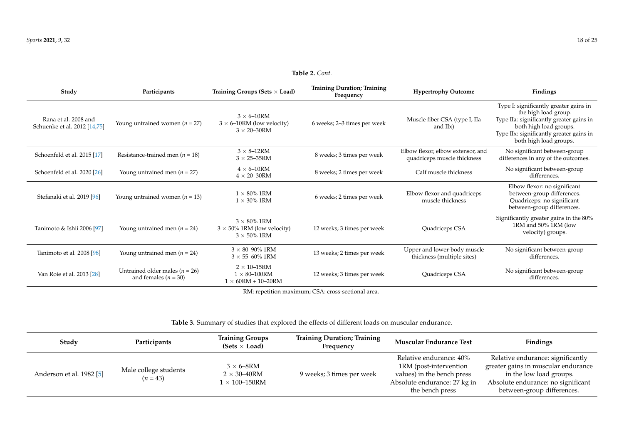| Table 2. Cont.                                       |                                                                |                                                                                    |                                                 |                                                                  |                                                                                                                                                                                                            |  |
|------------------------------------------------------|----------------------------------------------------------------|------------------------------------------------------------------------------------|-------------------------------------------------|------------------------------------------------------------------|------------------------------------------------------------------------------------------------------------------------------------------------------------------------------------------------------------|--|
| Study                                                | Participants                                                   | Training Groups (Sets $\times$ Load)                                               | <b>Training Duration; Training</b><br>Frequency | <b>Hypertrophy Outcome</b>                                       | Findings                                                                                                                                                                                                   |  |
| Rana et al. 2008 and<br>Schuenke et al. 2012 [14,75] | Young untrained women ( $n = 27$ )                             | $3 \times 6 - 10$ RM<br>$3 \times 6$ –10RM (low velocity)<br>$3 \times 20 - 30$ RM | 6 weeks; 2-3 times per week                     | Muscle fiber CSA (type I, IIa<br>and $IIx$ )                     | Type I: significantly greater gains in<br>the high load group.<br>Type IIa: significantly greater gains in<br>both high load groups.<br>Type IIx: significantly greater gains in<br>both high load groups. |  |
| Schoenfeld et al. 2015 [17]                          | Resistance-trained men ( $n = 18$ )                            | $3 \times 8 - 12$ RM<br>$3 \times 25 - 35$ RM                                      | 8 weeks; 3 times per week                       | Elbow flexor, elbow extensor, and<br>quadriceps muscle thickness | No significant between-group<br>differences in any of the outcomes.                                                                                                                                        |  |
| Schoenfeld et al. 2020 [26]                          | Young untrained men ( $n = 27$ )                               | $4 \times 6 - 10$ RM<br>$4 \times 20 - 30$ RM                                      | 8 weeks; 2 times per week                       | Calf muscle thickness                                            | No significant between-group<br>differences.                                                                                                                                                               |  |
| Stefanaki et al. 2019 [96]                           | Young untrained women ( $n = 13$ )                             | $1 \times 80\%$ 1RM<br>$1 \times 30\%$ 1RM                                         | 6 weeks; 2 times per week                       | Elbow flexor and quadriceps<br>muscle thickness                  | Elbow flexor: no significant<br>between-group differences.<br>Quadriceps: no significant<br>between-group differences.                                                                                     |  |
| Tanimoto & Ishii 2006 [97]                           | Young untrained men ( $n = 24$ )                               | $3 \times 80\%$ 1RM<br>$3 \times 50\%$ 1RM (low velocity)<br>$3 \times 50\%$ 1RM   | 12 weeks; 3 times per week                      | Quadriceps CSA                                                   | Significantly greater gains in the 80%<br>1RM and 50% 1RM (low<br>velocity) groups.                                                                                                                        |  |
| Tanimoto et al. 2008 [98]                            | Young untrained men ( $n = 24$ )                               | $3 \times 80 - 90\%$ 1RM<br>$3 \times 55 - 60\%$ 1RM                               | 13 weeks; 2 times per week                      | Upper and lower-body muscle<br>thickness (multiple sites)        | No significant between-group<br>differences.                                                                                                                                                               |  |
| Van Roie et al. 2013 [28]                            | Untrained older males ( $n = 26$ )<br>and females ( $n = 30$ ) | $2 \times 10$ -15RM<br>$1 \times 80 - 100$ RM<br>$1 \times 60RM + 10-20RM$         | 12 weeks; 3 times per week                      | Quadriceps CSA                                                   | No significant between-group<br>differences.                                                                                                                                                               |  |

RM: repetition maximum; CSA: cross-sectional area.

**Table 3.** Summary of studies that explored the effects of different loads on muscular endurance.

<span id="page-17-0"></span>

| Study                    | Participants                        | <b>Training Groups</b><br>(Sets $\times$ Load)                                    | <b>Training Duration; Training</b><br>Frequency | <b>Muscular Endurance Test</b>                                                                                                     | Findings                                                                                                                                                                |
|--------------------------|-------------------------------------|-----------------------------------------------------------------------------------|-------------------------------------------------|------------------------------------------------------------------------------------------------------------------------------------|-------------------------------------------------------------------------------------------------------------------------------------------------------------------------|
| Anderson et al. 1982 [5] | Male college students<br>$(n = 43)$ | $3 \times 6 - 8$ RM<br>$2 \times 30 - 40$ RM<br>$1\times100\text{--}150\text{RM}$ | 9 weeks; 3 times per week                       | Relative endurance: 40%<br>1RM (post-intervention<br>values) in the bench press<br>Absolute endurance: 27 kg in<br>the bench press | Relative endurance: significantly<br>greater gains in muscular endurance<br>in the low load groups.<br>Absolute endurance: no significant<br>between-group differences. |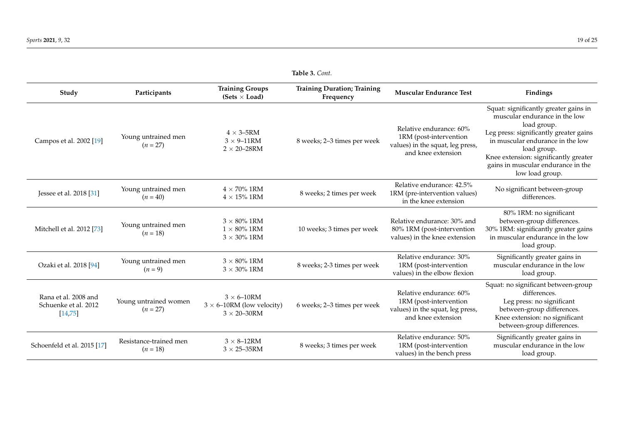Schoenfeld et al. 2015 [\[17\]](#page-20-26)

Resistance-trained men  $(n = 18)$ 

 $3 \times 8$ –12RM<br> $3 \times 25$ –35RM

|                                                          | Table 3. Cont.                      |                                                                                    |                                                 |                                                                                                             |                                                                                                                                                                                                                                                                                      |  |  |  |
|----------------------------------------------------------|-------------------------------------|------------------------------------------------------------------------------------|-------------------------------------------------|-------------------------------------------------------------------------------------------------------------|--------------------------------------------------------------------------------------------------------------------------------------------------------------------------------------------------------------------------------------------------------------------------------------|--|--|--|
| Study                                                    | Participants                        | <b>Training Groups</b><br>(Sets $\times$ Load)                                     | <b>Training Duration; Training</b><br>Frequency | <b>Muscular Endurance Test</b>                                                                              | Findings                                                                                                                                                                                                                                                                             |  |  |  |
| Campos et al. 2002 [19]                                  | Young untrained men<br>$(n = 27)$   | $4 \times 3 - 5$ RM<br>$3 \times 9 - 11$ RM<br>$2 \times 20 - 28$ RM               | 8 weeks; 2-3 times per week                     | Relative endurance: 60%<br>1RM (post-intervention<br>values) in the squat, leg press,<br>and knee extension | Squat: significantly greater gains in<br>muscular endurance in the low<br>load group.<br>Leg press: significantly greater gains<br>in muscular endurance in the low<br>load group.<br>Knee extension: significantly greater<br>gains in muscular endurance in the<br>low load group. |  |  |  |
| Jessee et al. 2018 [31]                                  | Young untrained men<br>$(n = 40)$   | $4 \times 70\%$ 1RM<br>$4 \times 15\%$ 1RM                                         | 8 weeks; 2 times per week                       | Relative endurance: 42.5%<br>1RM (pre-intervention values)<br>in the knee extension                         | No significant between-group<br>differences.                                                                                                                                                                                                                                         |  |  |  |
| Mitchell et al. 2012 [73]                                | Young untrained men<br>$(n = 18)$   | $3 \times 80\%$ 1RM<br>$1 \times 80\%$ 1RM<br>$3 \times 30\%$ 1RM                  | 10 weeks; 3 times per week                      | Relative endurance: 30% and<br>80% 1RM (post-intervention<br>values) in the knee extension                  | 80% 1RM: no significant<br>between-group differences.<br>30% 1RM: significantly greater gains<br>in muscular endurance in the low<br>load group.                                                                                                                                     |  |  |  |
| Ozaki et al. 2018 [94]                                   | Young untrained men<br>$(n = 9)$    | $3 \times 80\%$ 1RM<br>$3 \times 30\%$ 1RM                                         | 8 weeks; 2-3 times per week                     | Relative endurance: 30%<br>1RM (post-intervention<br>values) in the elbow flexion                           | Significantly greater gains in<br>muscular endurance in the low<br>load group.                                                                                                                                                                                                       |  |  |  |
| Rana et al. 2008 and<br>Schuenke et al. 2012<br>[14, 75] | Young untrained women<br>$(n = 27)$ | $3 \times 6 - 10$ RM<br>$3 \times 6$ –10RM (low velocity)<br>$3 \times 20 - 30$ RM | 6 weeks; 2-3 times per week                     | Relative endurance: 60%<br>1RM (post-intervention<br>values) in the squat, leg press,<br>and knee extension | Squat: no significant between-group<br>differences.<br>Leg press: no significant<br>between-group differences.<br>Knee extension: no significant                                                                                                                                     |  |  |  |

8 weeks; 3 times per week

Relative endurance: 50% 1RM (post-intervention values) in the bench press between-group differences.

Significantly greater gains in muscular endurance in the low load group.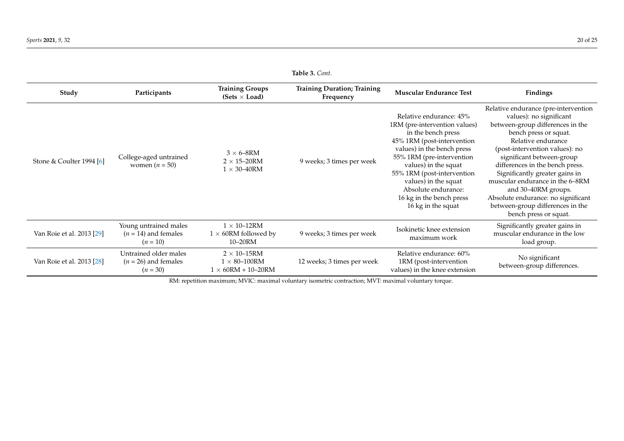| Table 3. Cont.            |                                                               |                                                                            |                                                 |                                                                                                                                                                                                                                                                                                                                |                                                                                                                                                                                                                                                                                                                                                                                                                                                     |  |  |
|---------------------------|---------------------------------------------------------------|----------------------------------------------------------------------------|-------------------------------------------------|--------------------------------------------------------------------------------------------------------------------------------------------------------------------------------------------------------------------------------------------------------------------------------------------------------------------------------|-----------------------------------------------------------------------------------------------------------------------------------------------------------------------------------------------------------------------------------------------------------------------------------------------------------------------------------------------------------------------------------------------------------------------------------------------------|--|--|
| Study                     | Participants                                                  | <b>Training Groups</b><br>$(Sets \times Load)$                             | <b>Training Duration; Training</b><br>Frequency | <b>Muscular Endurance Test</b>                                                                                                                                                                                                                                                                                                 | Findings                                                                                                                                                                                                                                                                                                                                                                                                                                            |  |  |
| Stone & Coulter 1994 [6]  | College-aged untrained<br>women $(n = 50)$                    | $3 \times 6 - 8$ RM<br>$2 \times 15 - 20$ RM<br>$1 \times 30 - 40$ RM      | 9 weeks; 3 times per week                       | Relative endurance: 45%<br>1RM (pre-intervention values)<br>in the bench press<br>45% 1RM (post-intervention<br>values) in the bench press<br>55% 1RM (pre-intervention<br>values) in the squat<br>55% 1RM (post-intervention<br>values) in the squat<br>Absolute endurance:<br>16 kg in the bench press<br>16 kg in the squat | Relative endurance (pre-intervention<br>values): no significant<br>between-group differences in the<br>bench press or squat.<br>Relative endurance<br>(post-intervention values): no<br>significant between-group<br>differences in the bench press.<br>Significantly greater gains in<br>muscular endurance in the 6–8RM<br>and 30–40RM groups.<br>Absolute endurance: no significant<br>between-group differences in the<br>bench press or squat. |  |  |
| Van Roie et al. 2013 [29] | Young untrained males<br>$(n = 14)$ and females<br>$(n = 10)$ | $1 \times 10$ -12RM<br>$1 \times 60$ RM followed by<br>10–20RM             | 9 weeks; 3 times per week                       | Isokinetic knee extension<br>maximum work                                                                                                                                                                                                                                                                                      | Significantly greater gains in<br>muscular endurance in the low<br>load group.                                                                                                                                                                                                                                                                                                                                                                      |  |  |
| Van Roie et al. 2013 [28] | Untrained older males<br>$(n = 26)$ and females<br>$(n = 30)$ | $2 \times 10$ -15RM<br>$1 \times 80 - 100$ RM<br>$1 \times 60RM + 10-20RM$ | 12 weeks; 3 times per week                      | Relative endurance: 60%<br>1RM (post-intervention<br>values) in the knee extension                                                                                                                                                                                                                                             | No significant<br>between-group differences.                                                                                                                                                                                                                                                                                                                                                                                                        |  |  |

<span id="page-19-0"></span>RM: repetition maximum; MVIC: maximal voluntary isometric contraction; MVT: maximal voluntary torque.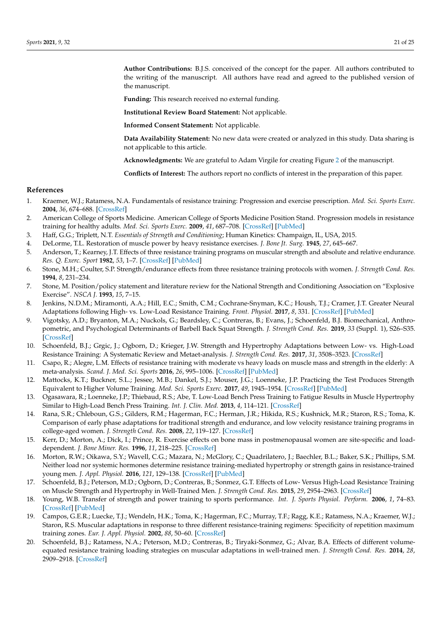<span id="page-20-19"></span>**Author Contributions:** B.J.S. conceived of the concept for the paper. All authors contributed to the writing of the manuscript. All authors have read and agreed to the published version of the manuscript.

<span id="page-20-27"></span>**Funding:** This research received no external funding.

**Institutional Review Board Statement:** Not applicable.

**Informed Consent Statement:** Not applicable.

**Data Availability Statement:** No new data were created or analyzed in this study. Data sharing is not applicable to this article.

**Acknowledgments:** We are grateful to Adam Virgile for creating Figure [2](#page-9-0) of the manuscript.

**Conflicts of Interest:** The authors report no conflicts of interest in the preparation of this paper.

### <span id="page-20-21"></span>**References**

- <span id="page-20-0"></span>1. Kraemer, W.J.; Ratamess, N.A. Fundamentals of resistance training: Progression and exercise prescription. *Med. Sci. Sports Exerc.* **2004**, *36*, 674–688. [\[CrossRef\]](http://doi.org/10.1249/01.MSS.0000121945.36635.61)
- <span id="page-20-24"></span><span id="page-20-1"></span>2. American College of Sports Medicine. American College of Sports Medicine Position Stand. Progression models in resistance training for healthy adults. *Med. Sci. Sports Exerc.* **2009**, *41*, 687–708. [\[CrossRef\]](http://doi.org/10.1249/MSS.0b013e3181915670) [\[PubMed\]](http://www.ncbi.nlm.nih.gov/pubmed/19204579)
- <span id="page-20-25"></span><span id="page-20-2"></span>3. Haff, G.G.; Triplett, N.T. *Essentials of Strength and Conditioning*; Human Kinetics: Champaign, IL, USA, 2015.
- <span id="page-20-3"></span>4. DeLorme, T.L. Restoration of muscle power by heavy resistance exercises. *J. Bone Jt. Surg.* **1945**, *27*, 645–667.
- <span id="page-20-22"></span><span id="page-20-4"></span>5. Anderson, T.; Kearney, J.T. Effects of three resistance training programs on muscular strength and absolute and relative endurance. *Res. Q. Exerc. Sport* **1982**, *53*, 1–7. [\[CrossRef\]](http://doi.org/10.1080/02701367.1982.10605218) [\[PubMed\]](http://www.ncbi.nlm.nih.gov/pubmed/7079558)
- <span id="page-20-23"></span><span id="page-20-5"></span>6. Stone, M.H.; Coulter, S.P. Strength/endurance effects from three resistance training protocols with women. *J. Strength Cond. Res.* **1994**, *8*, 231–234.
- <span id="page-20-6"></span>7. Stone, M. Position/policy statement and literature review for the National Strength and Conditioning Association on "Explosive Exercise". *NSCA J.* **1993**, *15*, 7–15.
- <span id="page-20-26"></span><span id="page-20-7"></span>8. Jenkins, N.D.M.; Miramonti, A.A.; Hill, E.C.; Smith, C.M.; Cochrane-Snyman, K.C.; Housh, T.J.; Cramer, J.T. Greater Neural Adaptations following High- vs. Low-Load Resistance Training. *Front. Physiol.* **2017**, *8*, 331. [\[CrossRef\]](http://doi.org/10.3389/fphys.2017.00331) [\[PubMed\]](http://www.ncbi.nlm.nih.gov/pubmed/28611677)
- <span id="page-20-20"></span><span id="page-20-8"></span>9. Vigotsky, A.D.; Bryanton, M.A.; Nuckols, G.; Beardsley, C.; Contreras, B.; Evans, J.; Schoenfeld, B.J. Biomechanical, Anthropometric, and Psychological Determinants of Barbell Back Squat Strength. *J. Strength Cond. Res.* **2019**, *33* (Suppl. 1), S26–S35. [\[CrossRef\]](http://doi.org/10.1519/JSC.0000000000002535)
- <span id="page-20-9"></span>10. Schoenfeld, B.J.; Grgic, J.; Ogborn, D.; Krieger, J.W. Strength and Hypertrophy Adaptations between Low- vs. High-Load Resistance Training: A Systematic Review and Metaet-analysis. *J. Strength Cond. Res.* **2017**, *31*, 3508–3523. [\[CrossRef\]](http://doi.org/10.1519/JSC.0000000000002200)
- <span id="page-20-10"></span>11. Csapo, R.; Alegre, L.M. Effects of resistance training with moderate vs heavy loads on muscle mass and strength in the elderly: A meta-analysis. *Scand. J. Med. Sci. Sports* **2016**, *26*, 995–1006. [\[CrossRef\]](http://doi.org/10.1111/sms.12536) [\[PubMed\]](http://www.ncbi.nlm.nih.gov/pubmed/26302881)
- <span id="page-20-11"></span>12. Mattocks, K.T.; Buckner, S.L.; Jessee, M.B.; Dankel, S.J.; Mouser, J.G.; Loenneke, J.P. Practicing the Test Produces Strength Equivalent to Higher Volume Training. *Med. Sci. Sports Exerc.* **2017**, *49*, 1945–1954. [\[CrossRef\]](http://doi.org/10.1249/MSS.0000000000001300) [\[PubMed\]](http://www.ncbi.nlm.nih.gov/pubmed/28463902)
- <span id="page-20-12"></span>13. Ogasawara, R.; Loenneke, J.P.; Thiebaud, R.S.; Abe, T. Low-Load Bench Press Training to Fatigue Results in Muscle Hypertrophy Similar to High-Load Bench Press Training. *Int. J. Clin. Med.* **2013**, *4*, 114–121. [\[CrossRef\]](http://doi.org/10.4236/ijcm.2013.42022)
- 14. Rana, S.R.; Chleboun, G.S.; Gilders, R.M.; Hagerman, F.C.; Herman, J.R.; Hikida, R.S.; Kushnick, M.R.; Staron, R.S.; Toma, K. Comparison of early phase adaptations for traditional strength and endurance, and low velocity resistance training programs in college-aged women. *J. Strength Cond. Res.* **2008**, *22*, 119–127. [\[CrossRef\]](http://doi.org/10.1519/JSC.0b013e31815f30e7)
- <span id="page-20-13"></span>15. Kerr, D.; Morton, A.; Dick, I.; Prince, R. Exercise effects on bone mass in postmenopausal women are site-specific and loaddependent. *J. Bone Miner. Res.* **1996**, *11*, 218–225. [\[CrossRef\]](http://doi.org/10.1002/jbmr.5650110211)
- <span id="page-20-14"></span>16. Morton, R.W.; Oikawa, S.Y.; Wavell, C.G.; Mazara, N.; McGlory, C.; Quadrilatero, J.; Baechler, B.L.; Baker, S.K.; Phillips, S.M. Neither load nor systemic hormones determine resistance training-mediated hypertrophy or strength gains in resistance-trained young men. *J. Appl. Physiol.* **2016**, *121*, 129–138. [\[CrossRef\]](http://doi.org/10.1152/japplphysiol.00154.2016) [\[PubMed\]](http://www.ncbi.nlm.nih.gov/pubmed/27174923)
- <span id="page-20-15"></span>17. Schoenfeld, B.J.; Peterson, M.D.; Ogborn, D.; Contreras, B.; Sonmez, G.T. Effects of Low- Versus High-Load Resistance Training on Muscle Strength and Hypertrophy in Well-Trained Men. *J. Strength Cond. Res.* **2015**, *29*, 2954–2963. [\[CrossRef\]](http://doi.org/10.1519/JSC.0000000000000958)
- <span id="page-20-16"></span>18. Young, W.B. Transfer of strength and power training to sports performance. *Int. J. Sports Physiol. Perform.* **2006**, *1*, 74–83. [\[CrossRef\]](http://doi.org/10.1123/ijspp.1.2.74) [\[PubMed\]](http://www.ncbi.nlm.nih.gov/pubmed/19114741)
- <span id="page-20-17"></span>19. Campos, G.E.R.; Luecke, T.J.; Wendeln, H.K.; Toma, K.; Hagerman, F.C.; Murray, T.F.; Ragg, K.E.; Ratamess, N.A.; Kraemer, W.J.; Staron, R.S. Muscular adaptations in response to three different resistance-training regimens: Specificity of repetition maximum training zones. *Eur. J. Appl. Physiol.* **2002**, *88*, 50–60. [\[CrossRef\]](http://doi.org/10.1007/s00421-002-0681-6)
- <span id="page-20-18"></span>20. Schoenfeld, B.J.; Ratamess, N.A.; Peterson, M.D.; Contreras, B.; Tiryaki-Sonmez, G.; Alvar, B.A. Effects of different volumeequated resistance training loading strategies on muscular adaptations in well-trained men. *J. Strength Cond. Res.* **2014**, *28*, 2909–2918. [\[CrossRef\]](http://doi.org/10.1519/JSC.0000000000000480)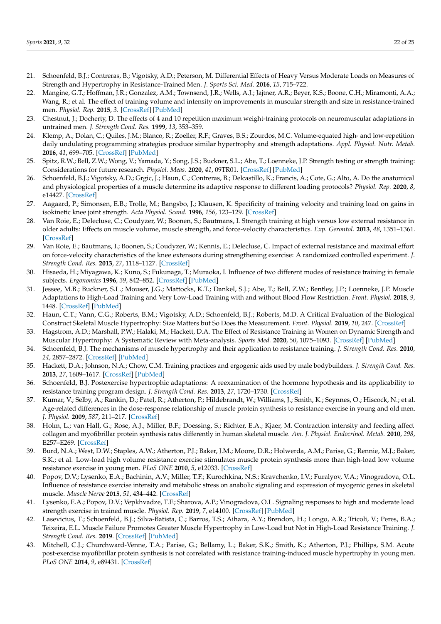- <span id="page-21-29"></span><span id="page-21-28"></span><span id="page-21-27"></span><span id="page-21-23"></span><span id="page-21-22"></span>21. Schoenfeld, B.J.; Contreras, B.; Vigotsky, A.D.; Peterson, M. Differential Effects of Heavy Versus Moderate Loads on Measures of Strength and Hypertrophy in Resistance-Trained Men. *J. Sports Sci. Med.* **2016**, *15*, 715–722.
- <span id="page-21-25"></span><span id="page-21-24"></span><span id="page-21-0"></span>22. Mangine, G.T.; Hoffman, J.R.; Gonzalez, A.M.; Townsend, J.R.; Wells, A.J.; Jajtner, A.R.; Beyer, K.S.; Boone, C.H.; Miramonti, A.A.; Wang, R.; et al. The effect of training volume and intensity on improvements in muscular strength and size in resistance-trained men. *Physiol. Rep.* **2015**, *3*. [\[CrossRef\]](http://doi.org/10.14814/phy2.12472) [\[PubMed\]](http://www.ncbi.nlm.nih.gov/pubmed/26272733)
- <span id="page-21-1"></span>23. Chestnut, J.; Docherty, D. The effects of 4 and 10 repetition maximum weight-training protocols on neuromuscular adaptations in untrained men. *J. Strength Cond. Res.* **1999**, *13*, 353–359.
- <span id="page-21-2"></span>24. Klemp, A.; Dolan, C.; Quiles, J.M.; Blanco, R.; Zoeller, R.F.; Graves, B.S.; Zourdos, M.C. Volume-equated high- and low-repetition daily undulating programming strategies produce similar hypertrophy and strength adaptations. *Appl. Physiol. Nutr. Metab.* **2016**, *41*, 699–705. [\[CrossRef\]](http://doi.org/10.1139/apnm-2015-0707) [\[PubMed\]](http://www.ncbi.nlm.nih.gov/pubmed/27218448)
- <span id="page-21-3"></span>25. Spitz, R.W.; Bell, Z.W.; Wong, V.; Yamada, Y.; Song, J.S.; Buckner, S.L.; Abe, T.; Loenneke, J.P. Strength testing or strength training: Considerations for future research. *Physiol. Meas.* **2020**, *41*, 09TR01. [\[CrossRef\]](http://doi.org/10.1088/1361-6579/abb1fa) [\[PubMed\]](http://www.ncbi.nlm.nih.gov/pubmed/33017302)
- <span id="page-21-4"></span>26. Schoenfeld, B.J.; Vigotsky, A.D.; Grgic, J.; Haun, C.; Contreras, B.; Delcastillo, K.; Francis, A.; Cote, G.; Alto, A. Do the anatomical and physiological properties of a muscle determine its adaptive response to different loading protocols? *Physiol. Rep.* **2020**, *8*, e14427. [\[CrossRef\]](http://doi.org/10.14814/phy2.14427)
- <span id="page-21-5"></span>27. Aagaard, P.; Simonsen, E.B.; Trolle, M.; Bangsbo, J.; Klausen, K. Specificity of training velocity and training load on gains in isokinetic knee joint strength. *Acta Physiol. Scand.* **1996**, *156*, 123–129. [\[CrossRef\]](http://doi.org/10.1046/j.1365-201X.1996.438162000.x)
- <span id="page-21-6"></span>28. Van Roie, E.; Delecluse, C.; Coudyzer, W.; Boonen, S.; Bautmans, I. Strength training at high versus low external resistance in older adults: Effects on muscle volume, muscle strength, and force-velocity characteristics. *Exp. Gerontol.* **2013**, *48*, 1351–1361. [\[CrossRef\]](http://doi.org/10.1016/j.exger.2013.08.010)
- <span id="page-21-7"></span>29. Van Roie, E.; Bautmans, I.; Boonen, S.; Coudyzer, W.; Kennis, E.; Delecluse, C. Impact of external resistance and maximal effort on force-velocity characteristics of the knee extensors during strengthening exercise: A randomized controlled experiment. *J. Strength Cond. Res.* **2013**, *27*, 1118–1127. [\[CrossRef\]](http://doi.org/10.1519/JSC.0b013e3182606e35)
- <span id="page-21-8"></span>30. Hisaeda, H.; Miyagawa, K.; Kuno, S.; Fukunaga, T.; Muraoka, I. Influence of two different modes of resistance training in female subjects. *Ergonomics* **1996**, *39*, 842–852. [\[CrossRef\]](http://doi.org/10.1080/00140139608964505) [\[PubMed\]](http://www.ncbi.nlm.nih.gov/pubmed/8681927)
- <span id="page-21-9"></span>31. Jessee, M.B.; Buckner, S.L.; Mouser, J.G.; Mattocks, K.T.; Dankel, S.J.; Abe, T.; Bell, Z.W.; Bentley, J.P.; Loenneke, J.P. Muscle Adaptations to High-Load Training and Very Low-Load Training with and without Blood Flow Restriction. *Front. Physiol.* **2018**, *9*, 1448. [\[CrossRef\]](http://doi.org/10.3389/fphys.2018.01448) [\[PubMed\]](http://www.ncbi.nlm.nih.gov/pubmed/30386254)
- <span id="page-21-10"></span>32. Haun, C.T.; Vann, C.G.; Roberts, B.M.; Vigotsky, A.D.; Schoenfeld, B.J.; Roberts, M.D. A Critical Evaluation of the Biological Construct Skeletal Muscle Hypertrophy: Size Matters but So Does the Measurement. *Front. Physiol.* **2019**, *10*, 247. [\[CrossRef\]](http://doi.org/10.3389/fphys.2019.00247)
- <span id="page-21-26"></span><span id="page-21-11"></span>33. Hagstrom, A.D.; Marshall, P.W.; Halaki, M.; Hackett, D.A. The Effect of Resistance Training in Women on Dynamic Strength and Muscular Hypertrophy: A Systematic Review with Meta-analysis. *Sports Med.* **2020**, *50*, 1075–1093. [\[CrossRef\]](http://doi.org/10.1007/s40279-019-01247-x) [\[PubMed\]](http://www.ncbi.nlm.nih.gov/pubmed/31820374)
- <span id="page-21-12"></span>34. Schoenfeld, B.J. The mechanisms of muscle hypertrophy and their application to resistance training. *J. Strength Cond. Res.* **2010**, *24*, 2857–2872. [\[CrossRef\]](http://doi.org/10.1519/JSC.0b013e3181e840f3) [\[PubMed\]](http://www.ncbi.nlm.nih.gov/pubmed/20847704)
- <span id="page-21-13"></span>35. Hackett, D.A.; Johnson, N.A.; Chow, C.M. Training practices and ergogenic aids used by male bodybuilders. *J. Strength Cond. Res.* **2013**, *27*, 1609–1617. [\[CrossRef\]](http://doi.org/10.1519/JSC.0b013e318271272a) [\[PubMed\]](http://www.ncbi.nlm.nih.gov/pubmed/22990567)
- <span id="page-21-14"></span>36. Schoenfeld, B.J. Postexercise hypertrophic adaptations: A reexamination of the hormone hypothesis and its applicability to resistance training program design. *J. Strength Cond. Res.* **2013**, *27*, 1720–1730. [\[CrossRef\]](http://doi.org/10.1519/JSC.0b013e31828ddd53)
- <span id="page-21-15"></span>37. Kumar, V.; Selby, A.; Rankin, D.; Patel, R.; Atherton, P.; Hildebrandt, W.; Williams, J.; Smith, K.; Seynnes, O.; Hiscock, N.; et al. Age-related differences in the dose-response relationship of muscle protein synthesis to resistance exercise in young and old men. *J. Physiol.* **2009**, *587*, 211–217. [\[CrossRef\]](http://doi.org/10.1113/jphysiol.2008.164483)
- <span id="page-21-16"></span>38. Holm, L.; van Hall, G.; Rose, A.J.; Miller, B.F.; Doessing, S.; Richter, E.A.; Kjaer, M. Contraction intensity and feeding affect collagen and myofibrillar protein synthesis rates differently in human skeletal muscle. *Am. J. Physiol. Endocrinol. Metab.* **2010**, *298*, E257–E269. [\[CrossRef\]](http://doi.org/10.1152/ajpendo.00609.2009)
- <span id="page-21-17"></span>39. Burd, N.A.; West, D.W.; Staples, A.W.; Atherton, P.J.; Baker, J.M.; Moore, D.R.; Holwerda, A.M.; Parise, G.; Rennie, M.J.; Baker, S.K.; et al. Low-load high volume resistance exercise stimulates muscle protein synthesis more than high-load low volume resistance exercise in young men. *PLoS ONE* **2010**, *5*, e12033. [\[CrossRef\]](http://doi.org/10.1371/journal.pone.0012033)
- <span id="page-21-18"></span>40. Popov, D.V.; Lysenko, E.A.; Bachinin, A.V.; Miller, T.F.; Kurochkina, N.S.; Kravchenko, I.V.; Furalyov, V.A.; Vinogradova, O.L. Influence of resistance exercise intensity and metabolic stress on anabolic signaling and expression of myogenic genes in skeletal muscle. *Muscle Nerve* **2015**, *51*, 434–442. [\[CrossRef\]](http://doi.org/10.1002/mus.24314)
- <span id="page-21-19"></span>41. Lysenko, E.A.; Popov, D.V.; Vepkhvadze, T.F.; Sharova, A.P.; Vinogradova, O.L. Signaling responses to high and moderate load strength exercise in trained muscle. *Physiol. Rep.* **2019**, *7*, e14100. [\[CrossRef\]](http://doi.org/10.14814/phy2.14100) [\[PubMed\]](http://www.ncbi.nlm.nih.gov/pubmed/31090216)
- <span id="page-21-20"></span>42. Lasevicius, T.; Schoenfeld, B.J.; Silva-Batista, C.; Barros, T.S.; Aihara, A.Y.; Brendon, H.; Longo, A.R.; Tricoli, V.; Peres, B.A.; Teixeira, E.L. Muscle Failure Promotes Greater Muscle Hypertrophy in Low-Load but Not in High-Load Resistance Training. *J. Strength Cond. Res.* **2019**. [\[CrossRef\]](http://doi.org/10.1519/JSC.0000000000003454) [\[PubMed\]](http://www.ncbi.nlm.nih.gov/pubmed/31895290)
- <span id="page-21-21"></span>43. Mitchell, C.J.; Churchward-Venne, T.A.; Parise, G.; Bellamy, L.; Baker, S.K.; Smith, K.; Atherton, P.J.; Phillips, S.M. Acute post-exercise myofibrillar protein synthesis is not correlated with resistance training-induced muscle hypertrophy in young men. *PLoS ONE* **2014**, *9*, e89431. [\[CrossRef\]](http://doi.org/10.1371/journal.pone.0089431)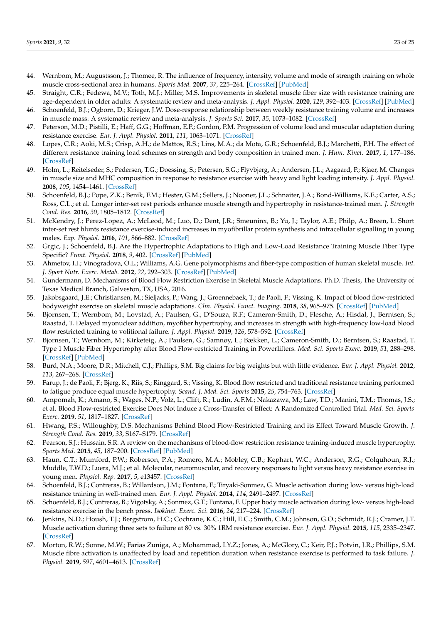- <span id="page-22-20"></span><span id="page-22-0"></span>44. Wernbom, M.; Augustsson, J.; Thomee, R. The influence of frequency, intensity, volume and mode of strength training on whole muscle cross-sectional area in humans. *Sports Med.* **2007**, *37*, 225–264. [\[CrossRef\]](http://doi.org/10.2165/00007256-200737030-00004) [\[PubMed\]](http://www.ncbi.nlm.nih.gov/pubmed/17326698)
- <span id="page-22-1"></span>45. Straight, C.R.; Fedewa, M.V.; Toth, M.J.; Miller, M.S. Improvements in skeletal muscle fiber size with resistance training are age-dependent in older adults: A systematic review and meta-analysis. *J. Appl. Physiol.* **2020**, *129*, 392–403. [\[CrossRef\]](http://doi.org/10.1152/japplphysiol.00170.2020) [\[PubMed\]](http://www.ncbi.nlm.nih.gov/pubmed/32702280)
- <span id="page-22-2"></span>46. Schoenfeld, B.J.; Ogborn, D.; Krieger, J.W. Dose-response relationship between weekly resistance training volume and increases in muscle mass: A systematic review and meta-analysis. *J. Sports Sci.* **2017**, *35*, 1073–1082. [\[CrossRef\]](http://doi.org/10.1080/02640414.2016.1210197)
- <span id="page-22-3"></span>47. Peterson, M.D.; Pistilli, E.; Haff, G.G.; Hoffman, E.P.; Gordon, P.M. Progression of volume load and muscular adaptation during resistance exercise. *Eur. J. Appl. Physiol.* **2011**, *111*, 1063–1071. [\[CrossRef\]](http://doi.org/10.1007/s00421-010-1735-9)
- <span id="page-22-4"></span>48. Lopes, C.R.; Aoki, M.S.; Crisp, A.H.; de Mattos, R.S.; Lins, M.A.; da Mota, G.R.; Schoenfeld, B.J.; Marchetti, P.H. The effect of different resistance training load schemes on strength and body composition in trained men. *J. Hum. Kinet.* **2017**, *1*, 177–186. [\[CrossRef\]](http://doi.org/10.1515/hukin-2017-0081)
- <span id="page-22-5"></span>49. Holm, L.; Reitelseder, S.; Pedersen, T.G.; Doessing, S.; Petersen, S.G.; Flyvbjerg, A.; Andersen, J.L.; Aagaard, P.; Kjaer, M. Changes in muscle size and MHC composition in response to resistance exercise with heavy and light loading intensity. *J. Appl. Physiol.* **2008**, *105*, 1454–1461. [\[CrossRef\]](http://doi.org/10.1152/japplphysiol.90538.2008)
- <span id="page-22-6"></span>50. Schoenfeld, B.J.; Pope, Z.K.; Benik, F.M.; Hester, G.M.; Sellers, J.; Nooner, J.L.; Schnaiter, J.A.; Bond-Williams, K.E.; Carter, A.S.; Ross, C.L.; et al. Longer inter-set rest periods enhance muscle strength and hypertrophy in resistance-trained men. *J. Strength Cond. Res.* **2016**, *30*, 1805–1812. [\[CrossRef\]](http://doi.org/10.1519/JSC.0000000000001272)
- <span id="page-22-7"></span>51. McKendry, J.; Perez-Lopez, A.; McLeod, M.; Luo, D.; Dent, J.R.; Smeuninx, B.; Yu, J.; Taylor, A.E.; Philp, A.; Breen, L. Short inter-set rest blunts resistance exercise-induced increases in myofibrillar protein synthesis and intracellular signalling in young males. *Exp. Physiol.* **2016**, *101*, 866–882. [\[CrossRef\]](http://doi.org/10.1113/EP085647)
- <span id="page-22-8"></span>52. Grgic, J.; Schoenfeld, B.J. Are the Hypertrophic Adaptations to High and Low-Load Resistance Training Muscle Fiber Type Specific? *Front. Physiol.* **2018**, *9*, 402. [\[CrossRef\]](http://doi.org/10.3389/fphys.2018.00402) [\[PubMed\]](http://www.ncbi.nlm.nih.gov/pubmed/29720946)
- <span id="page-22-9"></span>53. Ahmetov, I.I.; Vinogradova, O.L.; Williams, A.G. Gene polymorphisms and fiber-type composition of human skeletal muscle. *Int. J. Sport Nutr. Exerc. Metab.* **2012**, *22*, 292–303. [\[CrossRef\]](http://doi.org/10.1123/ijsnem.22.4.292) [\[PubMed\]](http://www.ncbi.nlm.nih.gov/pubmed/22645169)
- <span id="page-22-10"></span>54. Gundermann, D. Mechanisms of Blood Flow Restriction Exercise in Skeletal Muscle Adaptations. Ph.D. Thesis, The University of Texas Medical Branch, Galveston, TX, USA, 2016.
- <span id="page-22-11"></span>55. Jakobsgaard, J.E.; Christiansen, M.; Sieljacks, P.; Wang, J.; Groennebaek, T.; de Paoli, F.; Vissing, K. Impact of blood flow-restricted bodyweight exercise on skeletal muscle adaptations. *Clin. Physiol. Funct. Imaging.* **2018**, *38*, 965–975. [\[CrossRef\]](http://doi.org/10.1111/cpf.12509) [\[PubMed\]](http://www.ncbi.nlm.nih.gov/pubmed/29446524)
- 56. Bjornsen, T.; Wernbom, M.; Lovstad, A.; Paulsen, G.; D'Souza, R.F.; Cameron-Smith, D.; Flesche, A.; Hisdal, J.; Berntsen, S.; Raastad, T. Delayed myonuclear addition, myofiber hypertrophy, and increases in strength with high-frequency low-load blood flow restricted training to volitional failure. *J. Appl. Physiol.* **2019**, *126*, 578–592. [\[CrossRef\]](http://doi.org/10.1152/japplphysiol.00397.2018)
- <span id="page-22-12"></span>57. Bjornsen, T.; Wernbom, M.; Kirketeig, A.; Paulsen, G.; Samnøy, L.; Bækken, L.; Cameron-Smith, D.; Berntsen, S.; Raastad, T. Type 1 Muscle Fiber Hypertrophy after Blood Flow-restricted Training in Powerlifters. *Med. Sci. Sports Exerc.* **2019**, *51*, 288–298. [\[CrossRef\]](http://doi.org/10.1249/MSS.0000000000001775) [\[PubMed\]](http://www.ncbi.nlm.nih.gov/pubmed/30188363)
- <span id="page-22-13"></span>58. Burd, N.A.; Moore, D.R.; Mitchell, C.J.; Phillips, S.M. Big claims for big weights but with little evidence. *Eur. J. Appl. Physiol.* **2012**, *113*, 267–268. [\[CrossRef\]](http://doi.org/10.1007/s00421-012-2527-1)
- <span id="page-22-14"></span>59. Farup, J.; de Paoli, F.; Bjerg, K.; Riis, S.; Ringgard, S.; Vissing, K. Blood flow restricted and traditional resistance training performed to fatigue produce equal muscle hypertrophy. *Scand. J. Med. Sci. Sports* **2015**, *25*, 754–763. [\[CrossRef\]](http://doi.org/10.1111/sms.12396)
- <span id="page-22-15"></span>60. Ampomah, K.; Amano, S.; Wages, N.P.; Volz, L.; Clift, R.; Ludin, A.F.M.; Nakazawa, M.; Law, T.D.; Manini, T.M.; Thomas, J.S.; et al. Blood Flow-restricted Exercise Does Not Induce a Cross-Transfer of Effect: A Randomized Controlled Trial. *Med. Sci. Sports Exerc.* **2019**, *51*, 1817–1827. [\[CrossRef\]](http://doi.org/10.1249/MSS.0000000000001984)
- <span id="page-22-16"></span>61. Hwang, P.S.; Willoughby, D.S. Mechanisms Behind Blood Flow-Restricted Training and its Effect Toward Muscle Growth. *J. Strength Cond. Res.* **2019**, *33*, S167–S179. [\[CrossRef\]](http://doi.org/10.1519/JSC.0000000000002384)
- <span id="page-22-17"></span>62. Pearson, S.J.; Hussain, S.R. A review on the mechanisms of blood-flow restriction resistance training-induced muscle hypertrophy. *Sports Med.* **2015**, *45*, 187–200. [\[CrossRef\]](http://doi.org/10.1007/s40279-014-0264-9) [\[PubMed\]](http://www.ncbi.nlm.nih.gov/pubmed/25249278)
- <span id="page-22-18"></span>63. Haun, C.T.; Mumford, P.W.; Roberson, P.A.; Romero, M.A.; Mobley, C.B.; Kephart, W.C.; Anderson, R.G.; Colquhoun, R.J.; Muddle, T.W.D.; Luera, M.J.; et al. Molecular, neuromuscular, and recovery responses to light versus heavy resistance exercise in young men. *Physiol. Rep.* **2017**, *5*, e13457. [\[CrossRef\]](http://doi.org/10.14814/phy2.13457)
- 64. Schoenfeld, B.J.; Contreras, B.; Willardson, J.M.; Fontana, F.; Tiryaki-Sonmez, G. Muscle activation during low- versus high-load resistance training in well-trained men. *Eur. J. Appl. Physiol.* **2014**, *114*, 2491–2497. [\[CrossRef\]](http://doi.org/10.1007/s00421-014-2976-9)
- 65. Schoenfeld, B.J.; Contreras, B.; Vigotsky, A.; Sonmez, G.T.; Fontana, F. Upper body muscle activation during low- versus high-load resistance exercise in the bench press. *Isokinet. Exerc. Sci.* **2016**, *24*, 217–224. [\[CrossRef\]](http://doi.org/10.3233/IES-160620)
- 66. Jenkins, N.D.; Housh, T.J.; Bergstrom, H.C.; Cochrane, K.C.; Hill, E.C.; Smith, C.M.; Johnson, G.O.; Schmidt, R.J.; Cramer, J.T. Muscle activation during three sets to failure at 80 vs. 30% 1RM resistance exercise. *Eur. J. Appl. Physiol.* **2015**, *115*, 2335–2347. [\[CrossRef\]](http://doi.org/10.1007/s00421-015-3214-9)
- <span id="page-22-19"></span>67. Morton, R.W.; Sonne, M.W.; Farias Zuniga, A.; Mohammad, I.Y.Z.; Jones, A.; McGlory, C.; Keir, P.J.; Potvin, J.R.; Phillips, S.M. Muscle fibre activation is unaffected by load and repetition duration when resistance exercise is performed to task failure. *J. Physiol.* **2019**, *597*, 4601–4613. [\[CrossRef\]](http://doi.org/10.1113/JP278056)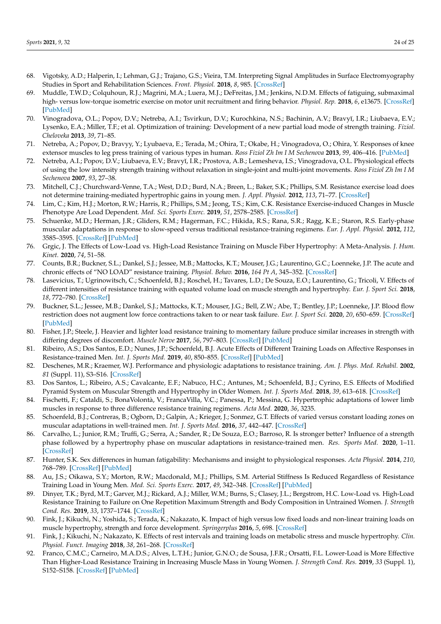- <span id="page-23-26"></span><span id="page-23-25"></span><span id="page-23-24"></span><span id="page-23-0"></span>68. Vigotsky, A.D.; Halperin, I.; Lehman, G.J.; Trajano, G.S.; Vieira, T.M. Interpreting Signal Amplitudes in Surface Electromyography Studies in Sport and Rehabilitation Sciences. *Front. Physiol.* **2018**, *8*, 985. [\[CrossRef\]](http://doi.org/10.3389/fphys.2017.00985)
- <span id="page-23-23"></span><span id="page-23-1"></span>69. Muddle, T.W.D.; Colquhoun, R.J.; Magrini, M.A.; Luera, M.J.; DeFreitas, J.M.; Jenkins, N.D.M. Effects of fatiguing, submaximal high- versus low-torque isometric exercise on motor unit recruitment and firing behavior. *Physiol. Rep.* **2018**, *6*, e13675. [\[CrossRef\]](http://doi.org/10.14814/phy2.13675) [\[PubMed\]](http://www.ncbi.nlm.nih.gov/pubmed/29673119)
- <span id="page-23-2"></span>70. Vinogradova, O.L.; Popov, D.V.; Netreba, A.I.; Tsvirkun, D.V.; Kurochkina, N.S.; Bachinin, A.V.; Bravyĭ, I.R.; Liubaeva, E.V.; Lysenko, E.A.; Miller, T.F.; et al. Optimization of training: Development of a new partial load mode of strength training. *Fiziol. Cheloveka* **2013**, *39*, 71–85.
- <span id="page-23-21"></span>71. Netreba, A.; Popov, D.; Bravyy, Y.; Lyubaeva, E.; Terada, M.; Ohira, T.; Okabe, H.; Vinogradova, O.; Ohira, Y. Responses of knee extensor muscles to leg press training of various types in human. *Ross Fiziol Zh Im I M Sechenova* **2013**, *99*, 406–416. [\[PubMed\]](http://www.ncbi.nlm.nih.gov/pubmed/23789443)
- <span id="page-23-3"></span>72. Netreba, A.I.; Popov, D.V.; Liubaeva, E.V.; Bravyĭ, I.R.; Prostova, A.B.; Lemesheva, I.S.; Vinogradova, O.L. Physiological effects of using the low intensity strength training without relaxation in single-joint and multi-joint movements. *Ross Fiziol Zh Im I M Sechenova* **2007**, *93*, 27–38.
- <span id="page-23-4"></span>73. Mitchell, C.J.; Churchward-Venne, T.A.; West, D.D.; Burd, N.A.; Breen, L.; Baker, S.K.; Phillips, S.M. Resistance exercise load does not determine training-mediated hypertrophic gains in young men. *J. Appl. Physiol.* **2012**, *113*, 71–77. [\[CrossRef\]](http://doi.org/10.1152/japplphysiol.00307.2012)
- <span id="page-23-5"></span>74. Lim, C.; Kim, H.J.; Morton, R.W.; Harris, R.; Phillips, S.M.; Jeong, T.S.; Kim, C.K. Resistance Exercise-induced Changes in Muscle Phenotype Are Load Dependent. *Med. Sci. Sports Exerc.* **2019**, *51*, 2578–2585. [\[CrossRef\]](http://doi.org/10.1249/MSS.0000000000002088)
- <span id="page-23-6"></span>75. Schuenke, M.D.; Herman, J.R.; Gliders, R.M.; Hagerman, F.C.; Hikida, R.S.; Rana, S.R.; Ragg, K.E.; Staron, R.S. Early-phase muscular adaptations in response to slow-speed versus traditional resistance-training regimens. *Eur. J. Appl. Physiol.* **2012**, *112*, 3585–3595. [\[CrossRef\]](http://doi.org/10.1007/s00421-012-2339-3) [\[PubMed\]](http://www.ncbi.nlm.nih.gov/pubmed/22328004)
- <span id="page-23-7"></span>76. Grgic, J. The Effects of Low-Load vs. High-Load Resistance Training on Muscle Fiber Hypertrophy: A Meta-Analysis. *J. Hum. Kinet.* **2020**, *74*, 51–58.
- <span id="page-23-8"></span>77. Counts, B.R.; Buckner, S.L.; Dankel, S.J.; Jessee, M.B.; Mattocks, K.T.; Mouser, J.G.; Laurentino, G.C.; Loenneke, J.P. The acute and chronic effects of "NO LOAD" resistance training. *Physiol. Behav.* **2016**, *164 Pt A*, 345–352. [\[CrossRef\]](http://doi.org/10.1016/j.physbeh.2016.06.024)
- <span id="page-23-17"></span><span id="page-23-9"></span>78. Lasevicius, T.; Ugrinowitsch, C.; Schoenfeld, B.J.; Roschel, H.; Tavares, L.D.; De Souza, E.O.; Laurentino, G.; Tricoli, V. Effects of different intensities of resistance training with equated volume load on muscle strength and hypertrophy. *Eur. J. Sport Sci.* **2018**, *18*, 772–780. [\[CrossRef\]](http://doi.org/10.1080/17461391.2018.1450898)
- <span id="page-23-18"></span><span id="page-23-10"></span>79. Buckner, S.L.; Jessee, M.B.; Dankel, S.J.; Mattocks, K.T.; Mouser, J.G.; Bell, Z.W.; Abe, T.; Bentley, J.P.; Loenneke, J.P. Blood flow restriction does not augment low force contractions taken to or near task failure. *Eur. J. Sport Sci.* **2020**, *20*, 650–659. [\[CrossRef\]](http://doi.org/10.1080/17461391.2019.1664640) [\[PubMed\]](http://www.ncbi.nlm.nih.gov/pubmed/31486720)
- <span id="page-23-19"></span><span id="page-23-11"></span>80. Fisher, J.P.; Steele, J. Heavier and lighter load resistance training to momentary failure produce similar increases in strength with differing degrees of discomfort. *Muscle Nerve* **2017**, *56*, 797–803. [\[CrossRef\]](http://doi.org/10.1002/mus.25537) [\[PubMed\]](http://www.ncbi.nlm.nih.gov/pubmed/28006852)
- <span id="page-23-20"></span><span id="page-23-12"></span>81. Ribeiro, A.S.; Dos Santos, E.D.; Nunes, J.P.; Schoenfeld, B.J. Acute Effects of Different Training Loads on Affective Responses in Resistance-trained Men. *Int. J. Sports Med.* **2019**, *40*, 850–855. [\[CrossRef\]](http://doi.org/10.1055/a-0997-6680) [\[PubMed\]](http://www.ncbi.nlm.nih.gov/pubmed/31499564)
- <span id="page-23-22"></span><span id="page-23-13"></span>82. Deschenes, M.R.; Kraemer, W.J. Performance and physiologic adaptations to resistance training. *Am. J. Phys. Med. Rehabil.* **2002**, *81* (Suppl. 11), S3–S16. [\[CrossRef\]](http://doi.org/10.1097/00002060-200211001-00003)
- <span id="page-23-14"></span>83. Dos Santos, L.; Ribeiro, A.S.; Cavalcante, E.F.; Nabuco, H.C.; Antunes, M.; Schoenfeld, B.J.; Cyrino, E.S. Effects of Modified Pyramid System on Muscular Strength and Hypertrophy in Older Women. *Int. J. Sports Med.* **2018**, *39*, 613–618. [\[CrossRef\]](http://doi.org/10.1055/a-0634-6454)
- 84. Fischetti, F.; Cataldi, S.; BonaVolontà, V.; FrancaVilla, V.C.; Panessa, P.; Messina, G. Hypertrophic adaptations of lower limb muscles in response to three difference resistance training regimens. *Acta Med.* **2020**, *36*, 3235.
- 85. Schoenfeld, B.J.; Contreras, B.; Ogborn, D.; Galpin, A.; Krieger, J.; Sonmez, G.T. Effects of varied versus constant loading zones on muscular adaptations in well-trained men. *Int. J. Sports Med.* **2016**, *37*, 442–447. [\[CrossRef\]](http://doi.org/10.1055/s-0035-1569369)
- <span id="page-23-15"></span>86. Carvalho, L.; Junior, R.M.; Truffi, G.; Serra, A.; Sander, R.; De Souza, E.O.; Barroso, R. Is stronger better? Influence of a strength phase followed by a hypertrophy phase on muscular adaptations in resistance-trained men. *Res. Sports Med.* **2020**, 1–11. [\[CrossRef\]](http://doi.org/10.1080/15438627.2020.1853546)
- <span id="page-23-16"></span>87. Hunter, S.K. Sex differences in human fatigability: Mechanisms and insight to physiological responses. *Acta Physiol.* **2014**, *210*, 768–789. [\[CrossRef\]](http://doi.org/10.1111/apha.12234) [\[PubMed\]](http://www.ncbi.nlm.nih.gov/pubmed/24433272)
- 88. Au, J.S.; Oikawa, S.Y.; Morton, R.W.; Macdonald, M.J.; Phillips, S.M. Arterial Stiffness Is Reduced Regardless of Resistance Training Load in Young Men. *Med. Sci. Sports Exerc.* **2017**, *49*, 342–348. [\[CrossRef\]](http://doi.org/10.1249/MSS.0000000000001106) [\[PubMed\]](http://www.ncbi.nlm.nih.gov/pubmed/27669442)
- 89. Dinyer, T.K.; Byrd, M.T.; Garver, M.J.; Rickard, A.J.; Miller, W.M.; Burns, S.; Clasey, J.L.; Bergstrom, H.C. Low-Load vs. High-Load Resistance Training to Failure on One Repetition Maximum Strength and Body Composition in Untrained Women. *J. Strength Cond. Res.* **2019**, *33*, 1737–1744. [\[CrossRef\]](http://doi.org/10.1519/JSC.0000000000003194)
- 90. Fink, J.; Kikuchi, N.; Yoshida, S.; Terada, K.; Nakazato, K. Impact of high versus low fixed loads and non-linear training loads on muscle hypertrophy, strength and force development. *Springerplus* **2016**, *5*, 698. [\[CrossRef\]](http://doi.org/10.1186/s40064-016-2333-z)
- 91. Fink, J.; Kikuchi, N.; Nakazato, K. Effects of rest intervals and training loads on metabolic stress and muscle hypertrophy. *Clin. Physiol. Funct. Imaging* **2018**, *38*, 261–268. [\[CrossRef\]](http://doi.org/10.1111/cpf.12409)
- 92. Franco, C.M.C.; Carneiro, M.A.D.S.; Alves, L.T.H.; Junior, G.N.O.; de Sousa, J.F.R.; Orsatti, F.L. Lower-Load is More Effective Than Higher-Load Resistance Training in Increasing Muscle Mass in Young Women. *J. Strength Cond. Res.* **2019**, *33* (Suppl. 1), S152–S158. [\[CrossRef\]](http://doi.org/10.1519/JSC.0000000000002970) [\[PubMed\]](http://www.ncbi.nlm.nih.gov/pubmed/30640303)